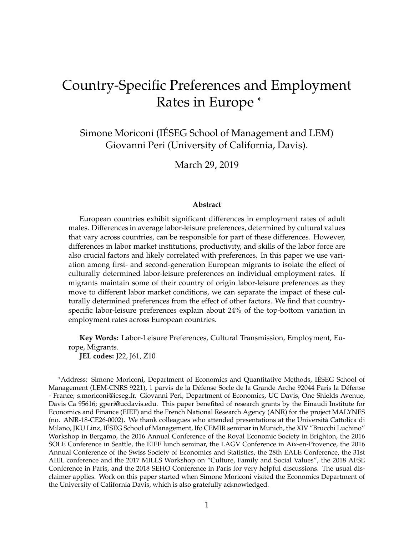# Country-Specific Preferences and Employment Rates in Europe \*

Simone Moriconi (IÉSEG School of Management and LEM) Giovanni Peri (University of California, Davis).

March 29, 2019

#### **Abstract**

European countries exhibit significant differences in employment rates of adult males. Differences in average labor-leisure preferences, determined by cultural values that vary across countries, can be responsible for part of these differences. However, differences in labor market institutions, productivity, and skills of the labor force are also crucial factors and likely correlated with preferences. In this paper we use variation among first- and second-generation European migrants to isolate the effect of culturally determined labor-leisure preferences on individual employment rates. If migrants maintain some of their country of origin labor-leisure preferences as they move to different labor market conditions, we can separate the impact of these culturally determined preferences from the effect of other factors. We find that countryspecific labor-leisure preferences explain about 24% of the top-bottom variation in employment rates across European countries.

**Key Words:** Labor-Leisure Preferences, Cultural Transmission, Employment, Europe, Migrants.

**JEL codes:** J22, J61, Z10

<sup>\*</sup>Address: Simone Moriconi, Department of Economics and Quantitative Methods, IESEG School of ´ Management (LEM-CNRS 9221), 1 parvis de la Défense Socle de la Grande Arche 92044 Paris la Défense - France; s.moriconi@ieseg.fr. Giovanni Peri, Department of Economics, UC Davis, One Shields Avenue, Davis Ca 95616; gperi@ucdavis.edu. This paper benefited of research grants by the Einaudi Institute for Economics and Finance (EIEF) and the French National Research Agency (ANR) for the project MALYNES (no. ANR-18-CE26-0002). We thank colleagues who attended presentations at the Universita Cattolica di ` Milano, JKU Linz, IESEG School of Management, Ifo CEMIR seminar in Munich, the XIV "Brucchi Luchino" ´ Workshop in Bergamo, the 2016 Annual Conference of the Royal Economic Society in Brighton, the 2016 SOLE Conference in Seattle, the EIEF lunch seminar, the LAGV Conference in Aix-en-Provence, the 2016 Annual Conference of the Swiss Society of Economics and Statistics, the 28th EALE Conference, the 31st AIEL conference and the 2017 MILLS Workshop on "Culture, Family and Social Values", the 2018 AFSE Conference in Paris, and the 2018 SEHO Conference in Paris for very helpful discussions. The usual disclaimer applies. Work on this paper started when Simone Moriconi visited the Economics Department of the University of California Davis, which is also gratefully acknowledged.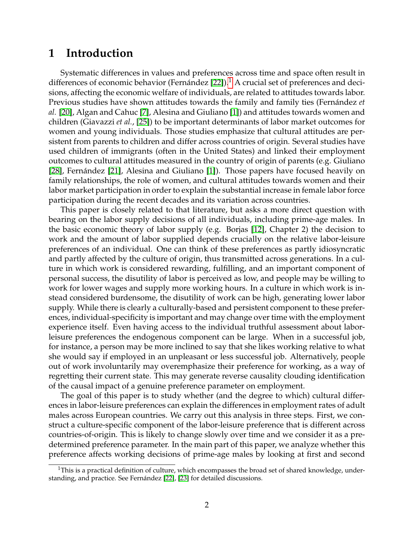## **1 Introduction**

Systematic differences in values and preferences across time and space often result in differences of economic behavior (Fernández [\[22\]](#page-49-0)). $^1$  $^1$  A crucial set of preferences and decisions, affecting the economic welfare of individuals, are related to attitudes towards labor. Previous studies have shown attitudes towards the family and family ties (Fernández *et al.* [\[20\]](#page-49-1), Algan and Cahuc [\[7\]](#page-48-0), Alesina and Giuliano [\[1\]](#page-48-1)) and attitudes towards women and children (Giavazzi *et al.*, [\[25\]](#page-49-2)) to be important determinants of labor market outcomes for women and young individuals. Those studies emphasize that cultural attitudes are persistent from parents to children and differ across countries of origin. Several studies have used children of immigrants (often in the United States) and linked their employment outcomes to cultural attitudes measured in the country of origin of parents (e.g. Giuliano [\[28\]](#page-49-3), Fernández [\[21\]](#page-49-4), Alesina and Giuliano [\[1\]](#page-48-1)). Those papers have focused heavily on family relationships, the role of women, and cultural attitudes towards women and their labor market participation in order to explain the substantial increase in female labor force participation during the recent decades and its variation across countries.

This paper is closely related to that literature, but asks a more direct question with bearing on the labor supply decisions of all individuals, including prime-age males. In the basic economic theory of labor supply (e.g. Borjas [\[12\]](#page-48-2), Chapter 2) the decision to work and the amount of labor supplied depends crucially on the relative labor-leisure preferences of an individual. One can think of these preferences as partly idiosyncratic and partly affected by the culture of origin, thus transmitted across generations. In a culture in which work is considered rewarding, fulfilling, and an important component of personal success, the disutility of labor is perceived as low, and people may be willing to work for lower wages and supply more working hours. In a culture in which work is instead considered burdensome, the disutility of work can be high, generating lower labor supply. While there is clearly a culturally-based and persistent component to these preferences, individual-specificity is important and may change over time with the employment experience itself. Even having access to the individual truthful assessment about laborleisure preferences the endogenous component can be large. When in a successful job, for instance, a person may be more inclined to say that she likes working relative to what she would say if employed in an unpleasant or less successful job. Alternatively, people out of work involuntarily may overemphasize their preference for working, as a way of regretting their current state. This may generate reverse causality clouding identification of the causal impact of a genuine preference parameter on employment.

The goal of this paper is to study whether (and the degree to which) cultural differences in labor-leisure preferences can explain the differences in employment rates of adult males across European countries. We carry out this analysis in three steps. First, we construct a culture-specific component of the labor-leisure preference that is different across countries-of-origin. This is likely to change slowly over time and we consider it as a predetermined preference parameter. In the main part of this paper, we analyze whether this preference affects working decisions of prime-age males by looking at first and second

<span id="page-1-0"></span><sup>&</sup>lt;sup>1</sup>This is a practical definition of culture, which encompasses the broad set of shared knowledge, under-standing, and practice. See Fernández [\[22\]](#page-49-0), [\[23\]](#page-49-5) for detailed discussions.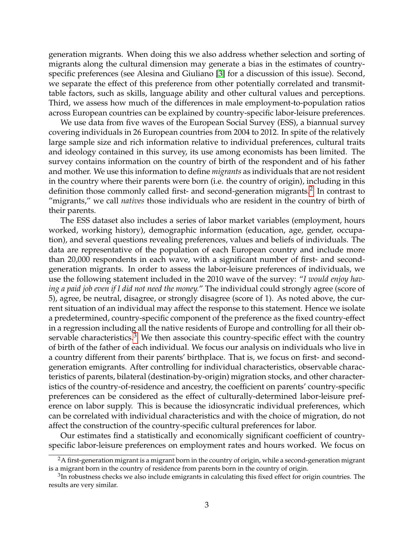generation migrants. When doing this we also address whether selection and sorting of migrants along the cultural dimension may generate a bias in the estimates of countryspecific preferences (see Alesina and Giuliano [\[3\]](#page-48-3) for a discussion of this issue). Second, we separate the effect of this preference from other potentially correlated and transmittable factors, such as skills, language ability and other cultural values and perceptions. Third, we assess how much of the differences in male employment-to-population ratios across European countries can be explained by country-specific labor-leisure preferences.

We use data from five waves of the European Social Survey (ESS), a biannual survey covering individuals in 26 European countries from 2004 to 2012. In spite of the relatively large sample size and rich information relative to individual preferences, cultural traits and ideology contained in this survey, its use among economists has been limited. The survey contains information on the country of birth of the respondent and of his father and mother. We use this information to define *migrants* as individuals that are not resident in the country where their parents were born (i.e. the country of origin), including in this definition those commonly called first- and second-generation migrants.<sup>[2](#page-2-0)</sup> In contrast to "migrants," we call *natives* those individuals who are resident in the country of birth of their parents.

The ESS dataset also includes a series of labor market variables (employment, hours worked, working history), demographic information (education, age, gender, occupation), and several questions revealing preferences, values and beliefs of individuals. The data are representative of the population of each European country and include more than 20,000 respondents in each wave, with a significant number of first- and secondgeneration migrants. In order to assess the labor-leisure preferences of individuals, we use the following statement included in the 2010 wave of the survey: "*I would enjoy having a paid job even if I did not need the money.*" The individual could strongly agree (score of 5), agree, be neutral, disagree, or strongly disagree (score of 1). As noted above, the current situation of an individual may affect the response to this statement. Hence we isolate a predetermined, country-specific component of the preference as the fixed country-effect in a regression including all the native residents of Europe and controlling for all their observable characteristics. $3$  We then associate this country-specific effect with the country of birth of the father of each individual. We focus our analysis on individuals who live in a country different from their parents' birthplace. That is, we focus on first- and secondgeneration emigrants. After controlling for individual characteristics, observable characteristics of parents, bilateral (destination-by-origin) migration stocks, and other characteristics of the country-of-residence and ancestry, the coefficient on parents' country-specific preferences can be considered as the effect of culturally-determined labor-leisure preference on labor supply. This is because the idiosyncratic individual preferences, which can be correlated with individual characteristics and with the choice of migration, do not affect the construction of the country-specific cultural preferences for labor.

Our estimates find a statistically and economically significant coefficient of countryspecific labor-leisure preferences on employment rates and hours worked. We focus on

<span id="page-2-0"></span> $2A$  first-generation migrant is a migrant born in the country of origin, while a second-generation migrant is a migrant born in the country of residence from parents born in the country of origin.

<span id="page-2-1"></span> ${}^{3}$ In robustness checks we also include emigrants in calculating this fixed effect for origin countries. The results are very similar.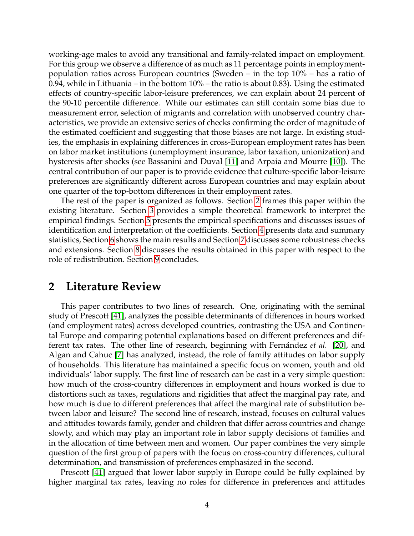working-age males to avoid any transitional and family-related impact on employment. For this group we observe a difference of as much as 11 percentage points in employmentpopulation ratios across European countries (Sweden – in the top 10% – has a ratio of 0.94, while in Lithuania – in the bottom 10% – the ratio is about 0.83). Using the estimated effects of country-specific labor-leisure preferences, we can explain about 24 percent of the 90-10 percentile difference. While our estimates can still contain some bias due to measurement error, selection of migrants and correlation with unobserved country characteristics, we provide an extensive series of checks confirming the order of magnitude of the estimated coefficient and suggesting that those biases are not large. In existing studies, the emphasis in explaining differences in cross-European employment rates has been on labor market institutions (unemployment insurance, labor taxation, unionization) and hysteresis after shocks (see Bassanini and Duval [\[11\]](#page-48-4) and Arpaia and Mourre [\[10\]](#page-48-5)). The central contribution of our paper is to provide evidence that culture-specific labor-leisure preferences are significantly different across European countries and may explain about one quarter of the top-bottom differences in their employment rates.

The rest of the paper is organized as follows. Section [2](#page-3-0) frames this paper within the existing literature. Section [3](#page-6-0) provides a simple theoretical framework to interpret the empirical findings. Section [5](#page-14-0) presents the empirical specifications and discusses issues of identification and interpretation of the coefficients. Section [4](#page-10-0) presents data and summary statistics, Section [6](#page-17-0) shows the main results and Section [7](#page-23-0) discusses some robustness checks and extensions. Section [8](#page-28-0) discusses the results obtained in this paper with respect to the role of redistribution. Section [9](#page-31-0) concludes.

### <span id="page-3-0"></span>**2 Literature Review**

This paper contributes to two lines of research. One, originating with the seminal study of Prescott [\[41\]](#page-50-0), analyzes the possible determinants of differences in hours worked (and employment rates) across developed countries, contrasting the USA and Continental Europe and comparing potential explanations based on different preferences and different tax rates. The other line of research, beginning with Fernández *et al.* [\[20\]](#page-49-1), and Algan and Cahuc [\[7\]](#page-48-0) has analyzed, instead, the role of family attitudes on labor supply of households. This literature has maintained a specific focus on women, youth and old individuals' labor supply. The first line of research can be cast in a very simple question: how much of the cross-country differences in employment and hours worked is due to distortions such as taxes, regulations and rigidities that affect the marginal pay rate, and how much is due to different preferences that affect the marginal rate of substitution between labor and leisure? The second line of research, instead, focuses on cultural values and attitudes towards family, gender and children that differ across countries and change slowly, and which may play an important role in labor supply decisions of families and in the allocation of time between men and women. Our paper combines the very simple question of the first group of papers with the focus on cross-country differences, cultural determination, and transmission of preferences emphasized in the second.

Prescott [\[41\]](#page-50-0) argued that lower labor supply in Europe could be fully explained by higher marginal tax rates, leaving no roles for difference in preferences and attitudes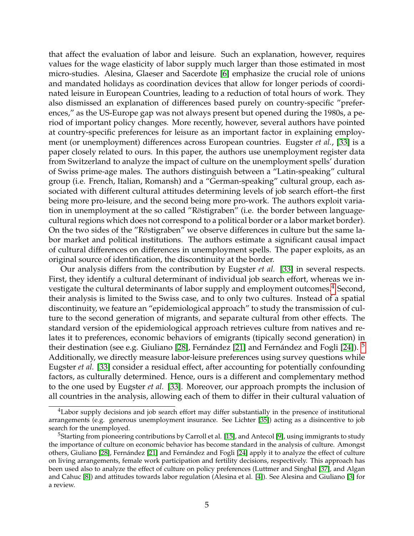that affect the evaluation of labor and leisure. Such an explanation, however, requires values for the wage elasticity of labor supply much larger than those estimated in most micro-studies. Alesina, Glaeser and Sacerdote [\[6\]](#page-48-6) emphasize the crucial role of unions and mandated holidays as coordination devices that allow for longer periods of coordinated leisure in European Countries, leading to a reduction of total hours of work. They also dismissed an explanation of differences based purely on country-specific "preferences," as the US-Europe gap was not always present but opened during the 1980s, a period of important policy changes. More recently, however, several authors have pointed at country-specific preferences for leisure as an important factor in explaining employment (or unemployment) differences across European countries. Eugster *et al.*, [\[33\]](#page-50-1) is a paper closely related to ours. In this paper, the authors use unemployment register data from Switzerland to analyze the impact of culture on the unemployment spells' duration of Swiss prime-age males. The authors distinguish between a "Latin-speaking" cultural group (i.e. French, Italian, Romansh) and a "German-speaking" cultural group, each associated with different cultural attitudes determining levels of job search effort–the first being more pro-leisure, and the second being more pro-work. The authors exploit variation in unemployment at the so called "Röstigraben" (i.e. the border between languagecultural regions which does not correspond to a political border or a labor market border). On the two sides of the "Röstigraben" we observe differences in culture but the same labor market and political institutions. The authors estimate a significant causal impact of cultural differences on differences in unemployment spells. The paper exploits, as an original source of identification, the discontinuity at the border.

Our analysis differs from the contribution by Eugster *et al.* [\[33\]](#page-50-1) in several respects. First, they identify a cultural determinant of individual job search effort, whereas we in-vestigate the cultural determinants of labor supply and employment outcomes.<sup>[4](#page-4-0)</sup> Second, their analysis is limited to the Swiss case, and to only two cultures. Instead of a spatial discontinuity, we feature an "epidemiological approach" to study the transmission of culture to the second generation of migrants, and separate cultural from other effects. The standard version of the epidemiological approach retrieves culture from natives and relates it to preferences, economic behaviors of emigrants (tipically second generation) in their destination (see e.g. Giuliano [\[28\]](#page-49-3), Fernández [\[21\]](#page-49-4) and Fernández and Fogli [\[24\]](#page-49-6)).  $^5$  $^5$ Additionally, we directly measure labor-leisure preferences using survey questions while Eugster *et al.* [\[33\]](#page-50-1) consider a residual effect, after accounting for potentially confounding factors, as culturally determined. Hence, ours is a different and complementary method to the one used by Eugster *et al.* [\[33\]](#page-50-1). Moreover, our approach prompts the inclusion of all countries in the analysis, allowing each of them to differ in their cultural valuation of

<span id="page-4-0"></span><sup>4</sup>Labor supply decisions and job search effort may differ substantially in the presence of institutional arrangements (e.g. generous unemployment insurance. See Lichter [\[35\]](#page-50-2)) acting as a disincentive to job search for the unemployed.

<span id="page-4-1"></span><sup>&</sup>lt;sup>5</sup>Starting from pioneering contributions by Carroll et al. [\[15\]](#page-49-7), and Antecol [\[9\]](#page-48-7), using immigrants to study the importance of culture on economic behavior has become standard in the analysis of culture. Amongst others, Giuliano [\[28\]](#page-49-3), Fernández [\[21\]](#page-49-4) and Fernández and Fogli [\[24\]](#page-49-6) apply it to analyze the effect of culture on living arrangements, female work participation and fertility decisions, respectively. This approach has been used also to analyze the effect of culture on policy preferences (Luttmer and Singhal [\[37\]](#page-50-3), and Algan and Cahuc [\[8\]](#page-48-8)) and attitudes towards labor regulation (Alesina et al. [\[4\]](#page-48-9)). See Alesina and Giuliano [\[3\]](#page-48-3) for a review.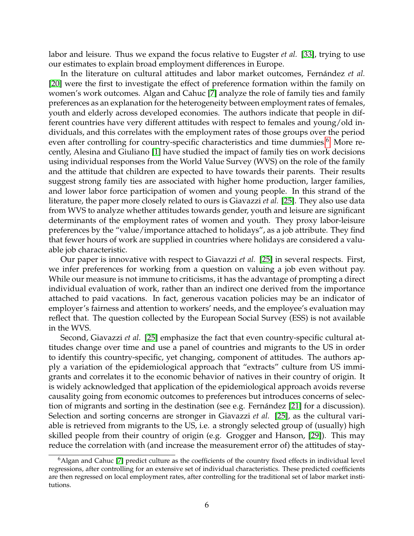labor and leisure. Thus we expand the focus relative to Eugster *et al.* [\[33\]](#page-50-1), trying to use our estimates to explain broad employment differences in Europe.

In the literature on cultural attitudes and labor market outcomes, Fernández *et al.* [\[20\]](#page-49-1) were the first to investigate the effect of preference formation within the family on women's work outcomes. Algan and Cahuc [\[7\]](#page-48-0) analyze the role of family ties and family preferences as an explanation for the heterogeneity between employment rates of females, youth and elderly across developed economies. The authors indicate that people in different countries have very different attitudes with respect to females and young/old individuals, and this correlates with the employment rates of those groups over the period even after controlling for country-specific characteristics and time dummies.<sup>[6](#page-5-0)</sup> More recently, Alesina and Giuliano [\[1\]](#page-48-1) have studied the impact of family ties on work decisions using individual responses from the World Value Survey (WVS) on the role of the family and the attitude that children are expected to have towards their parents. Their results suggest strong family ties are associated with higher home production, larger families, and lower labor force participation of women and young people. In this strand of the literature, the paper more closely related to ours is Giavazzi *et al.* [\[25\]](#page-49-2). They also use data from WVS to analyze whether attitudes towards gender, youth and leisure are significant determinants of the employment rates of women and youth. They proxy labor-leisure preferences by the "value/importance attached to holidays", as a job attribute. They find that fewer hours of work are supplied in countries where holidays are considered a valuable job characteristic.

Our paper is innovative with respect to Giavazzi *et al.* [\[25\]](#page-49-2) in several respects. First, we infer preferences for working from a question on valuing a job even without pay. While our measure is not immune to criticisms, it has the advantage of prompting a direct individual evaluation of work, rather than an indirect one derived from the importance attached to paid vacations. In fact, generous vacation policies may be an indicator of employer's fairness and attention to workers' needs, and the employee's evaluation may reflect that. The question collected by the European Social Survey (ESS) is not available in the WVS.

Second, Giavazzi *et al.* [\[25\]](#page-49-2) emphasize the fact that even country-specific cultural attitudes change over time and use a panel of countries and migrants to the US in order to identify this country-specific, yet changing, component of attitudes. The authors apply a variation of the epidemiological approach that "extracts" culture from US immigrants and correlates it to the economic behavior of natives in their country of origin. It is widely acknowledged that application of the epidemiological approach avoids reverse causality going from economic outcomes to preferences but introduces concerns of selec-tion of migrants and sorting in the destination (see e.g. Fernández [\[21\]](#page-49-4) for a discussion). Selection and sorting concerns are stronger in Giavazzi *et al.* [\[25\]](#page-49-2), as the cultural variable is retrieved from migrants to the US, i.e. a strongly selected group of (usually) high skilled people from their country of origin (e.g. Grogger and Hanson, [\[29\]](#page-49-8)). This may reduce the correlation with (and increase the measurement error of) the attitudes of stay-

<span id="page-5-0"></span><sup>&</sup>lt;sup>6</sup>Algan and Cahuc [\[7\]](#page-48-0) predict culture as the coefficients of the country fixed effects in individual level regressions, after controlling for an extensive set of individual characteristics. These predicted coefficients are then regressed on local employment rates, after controlling for the traditional set of labor market institutions.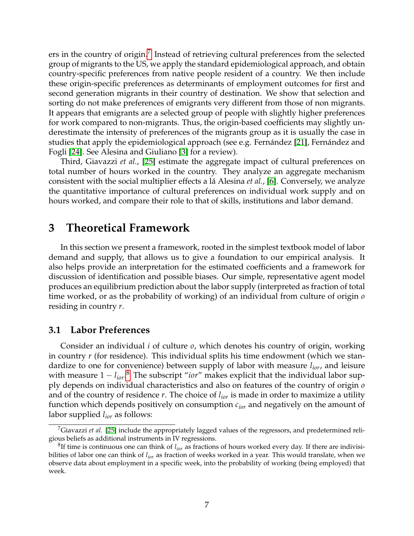ers in the country of origin.<sup>[7](#page-6-1)</sup> Instead of retrieving cultural preferences from the selected group of migrants to the US, we apply the standard epidemiological approach, and obtain country-specific preferences from native people resident of a country. We then include these origin-specific preferences as determinants of employment outcomes for first and second generation migrants in their country of destination. We show that selection and sorting do not make preferences of emigrants very different from those of non migrants. It appears that emigrants are a selected group of people with slightly higher preferences for work compared to non-migrants. Thus, the origin-based coefficients may slightly underestimate the intensity of preferences of the migrants group as it is usually the case in studies that apply the epidemiological approach (see e.g. Fernández [\[21\]](#page-49-4), Fernández and Fogli [\[24\]](#page-49-6). See Alesina and Giuliano [\[3\]](#page-48-3) for a review).

Third, Giavazzi *et al.*, [\[25\]](#page-49-2) estimate the aggregate impact of cultural preferences on total number of hours worked in the country. They analyze an aggregate mechanism consistent with the social multiplier effects a lá Alesina *et al.*, [\[6\]](#page-48-6). Conversely, we analyze the quantitative importance of cultural preferences on individual work supply and on hours worked, and compare their role to that of skills, institutions and labor demand.

## <span id="page-6-0"></span>**3 Theoretical Framework**

In this section we present a framework, rooted in the simplest textbook model of labor demand and supply, that allows us to give a foundation to our empirical analysis. It also helps provide an interpretation for the estimated coefficients and a framework for discussion of identification and possible biases. Our simple, representative agent model produces an equilibrium prediction about the labor supply (interpreted as fraction of total time worked, or as the probability of working) of an individual from culture of origin *o* residing in country *r*.

### **3.1 Labor Preferences**

Consider an individual *i* of culture *o*, which denotes his country of origin, working in country *r* (for residence). This individual splits his time endowment (which we standardize to one for convenience) between supply of labor with measure *lior*, and leisure with measure 1 − *lior*. [8](#page-6-2) The subscript "*ior*" makes explicit that the individual labor supply depends on individual characteristics and also on features of the country of origin *o* and of the country of residence *r*. The choice of *lior* is made in order to maximize a utility function which depends positively on consumption *cior* and negatively on the amount of labor supplied *lior* as follows:

<span id="page-6-1"></span><sup>&</sup>lt;sup>7</sup>Giavazzi *et al.* [\[25\]](#page-49-2) include the appropriately lagged values of the regressors, and predetermined religious beliefs as additional instruments in IV regressions.

<span id="page-6-2"></span><sup>8</sup> If time is continuous one can think of *lior* as fractions of hours worked every day. If there are indivisibilities of labor one can think of *lior* as fraction of weeks worked in a year. This would translate, when we observe data about employment in a specific week, into the probability of working (being employed) that week.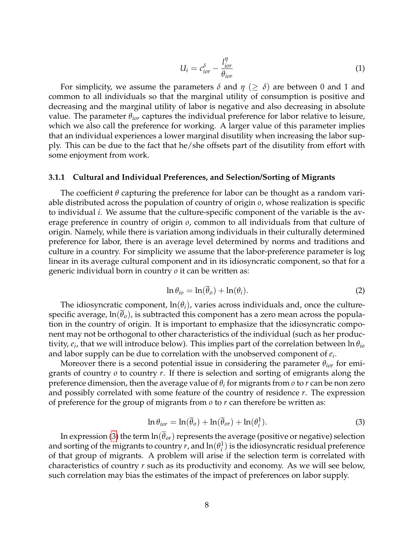<span id="page-7-1"></span>
$$
U_i = c_{ior}^{\delta} - \frac{l_{ior}^{\eta}}{\theta_{ior}}
$$
 (1)

For simplicity, we assume the parameters  $\delta$  and  $\eta$  ( $\geq \delta$ ) are between 0 and 1 and common to all individuals so that the marginal utility of consumption is positive and decreasing and the marginal utility of labor is negative and also decreasing in absolute value. The parameter *θior* captures the individual preference for labor relative to leisure, which we also call the preference for working. A larger value of this parameter implies that an individual experiences a lower marginal disutility when increasing the labor supply. This can be due to the fact that he/she offsets part of the disutility from effort with some enjoyment from work.

#### **3.1.1 Cultural and Individual Preferences, and Selection/Sorting of Migrants**

The coefficient *θ* capturing the preference for labor can be thought as a random variable distributed across the population of country of origin *o*, whose realization is specific to individual *i*. We assume that the culture-specific component of the variable is the average preference in country of origin *o*, common to all individuals from that culture of origin. Namely, while there is variation among individuals in their culturally determined preference for labor, there is an average level determined by norms and traditions and culture in a country. For simplicity we assume that the labor-preference parameter is log linear in its average cultural component and in its idiosyncratic component, so that for a generic individual born in country *o* it can be written as:

$$
\ln \theta_{io} = \ln(\theta_o) + \ln(\theta_i). \tag{2}
$$

The idiosyncratic component,  $ln(\theta_i)$ , varies across individuals and, once the culturespecific average,  $\ln(\theta_o)$ , is subtracted this component has a zero mean across the population in the country of origin. It is important to emphasize that the idiosyncratic component may not be orthogonal to other characteristics of the individual (such as her productivity, *e<sup>i</sup>* , that we will introduce below). This implies part of the correlation between ln *θio* and labor supply can be due to correlation with the unobserved component of *e<sup>i</sup>* .

Moreover there is a second potential issue in considering the parameter *θior* for emigrants of country *o* to country *r*. If there is selection and sorting of emigrants along the preference dimension, then the average value of *θ<sup>i</sup>* for migrants from *o* to *r* can be non zero and possibly correlated with some feature of the country of residence *r*. The expression of preference for the group of migrants from *o* to *r* can therefore be written as:

<span id="page-7-0"></span>
$$
\ln \theta_{ior} = \ln(\overline{\theta}_o) + \ln(\overline{\theta}_{or}) + \ln(\theta_i^1). \tag{3}
$$

In expression [\(3\)](#page-7-0) the term  $\ln(\overline{\theta}_{or})$  represents the average (positive or negative) selection and sorting of the migrants to country  $r$ , and  $\ln(\theta_i^1)$  $\binom{1}{i}$  is the idiosyncratic residual preference of that group of migrants. A problem will arise if the selection term is correlated with characteristics of country *r* such as its productivity and economy. As we will see below, such correlation may bias the estimates of the impact of preferences on labor supply.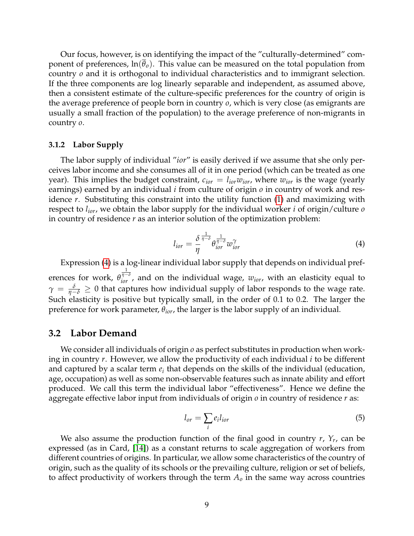Our focus, however, is on identifying the impact of the "culturally-determined" component of preferences,  $\ln(\theta_o)$ . This value can be measured on the total population from country *o* and it is orthogonal to individual characteristics and to immigrant selection. If the three components are log linearly separable and independent, as assumed above, then a consistent estimate of the culture-specific preferences for the country of origin is the average preference of people born in country *o*, which is very close (as emigrants are usually a small fraction of the population) to the average preference of non-migrants in country *o*.

#### **3.1.2 Labor Supply**

The labor supply of individual "*ior*" is easily derived if we assume that she only perceives labor income and she consumes all of it in one period (which can be treated as one year). This implies the budget constraint,  $c_{i0r} = l_{i0r}w_{i0r}$ , where  $w_{i0r}$  is the wage (yearly earnings) earned by an individual *i* from culture of origin *o* in country of work and residence *r*. Substituting this constraint into the utility function [\(1\)](#page-7-1) and maximizing with respect to *lior*, we obtain the labor supply for the individual worker *i* of origin/culture *o* in country of residence *r* as an interior solution of the optimization problem:

<span id="page-8-0"></span>
$$
l_{ior} = \frac{\delta}{\eta} \frac{\frac{1}{\eta - \delta}}{\theta_{ior}^{\eta - \delta}} w_{ior}^{\gamma}
$$
 (4)

Expression [\(4\)](#page-8-0) is a log-linear individual labor supply that depends on individual preferences for work, *θ* 1 *η*−*δ ior* , and on the individual wage, *wior*, with an elasticity equal to  $\gamma = \frac{\delta}{\eta - \delta} \geq 0$  that captures how individual supply of labor responds to the wage rate. Such elasticity is positive but typically small, in the order of 0.1 to 0.2. The larger the preference for work parameter, *θior*, the larger is the labor supply of an individual.

#### **3.2 Labor Demand**

We consider all individuals of origin *o* as perfect substitutes in production when working in country *r*. However, we allow the productivity of each individual *i* to be different and captured by a scalar term  $e_i$  that depends on the skills of the individual (education*,* age, occupation) as well as some non-observable features such as innate ability and effort produced. We call this term the individual labor "effectiveness". Hence we define the aggregate effective labor input from individuals of origin *o* in country of residence *r* as:

$$
l_{or} = \sum_{i} e_{i} l_{ior}
$$
 (5)

We also assume the production function of the final good in country *r*, *Y<sup>r</sup>* , can be expressed (as in Card, [\[14\]](#page-48-10)) as a constant returns to scale aggregation of workers from different countries of origins. In particular, we allow some characteristics of the country of origin, such as the quality of its schools or the prevailing culture, religion or set of beliefs, to affect productivity of workers through the term  $A<sub>o</sub>$  in the same way across countries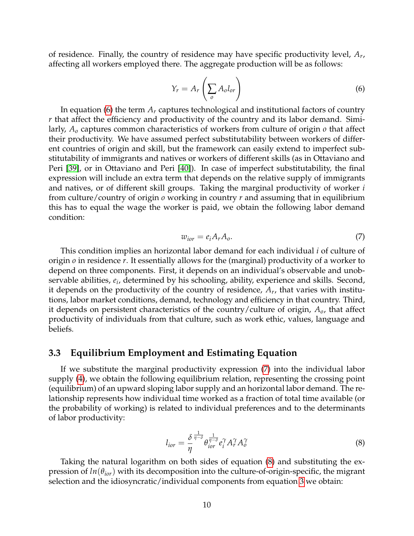of residence. Finally, the country of residence may have specific productivity level, *A<sup>r</sup>* , affecting all workers employed there. The aggregate production will be as follows:

<span id="page-9-0"></span>
$$
Y_r = A_r \left( \sum_o A_o l_{or} \right) \tag{6}
$$

In equation [\(6\)](#page-9-0) the term *A<sup>r</sup>* captures technological and institutional factors of country *r* that affect the efficiency and productivity of the country and its labor demand. Similarly, *A<sup>o</sup>* captures common characteristics of workers from culture of origin *o* that affect their productivity. We have assumed perfect substitutability between workers of different countries of origin and skill, but the framework can easily extend to imperfect substitutability of immigrants and natives or workers of different skills (as in Ottaviano and Peri [\[39\]](#page-50-4), or in Ottaviano and Peri [\[40\]](#page-50-5)). In case of imperfect substitutability, the final expression will include an extra term that depends on the relative supply of immigrants and natives, or of different skill groups. Taking the marginal productivity of worker *i* from culture/country of origin *o* working in country *r* and assuming that in equilibrium this has to equal the wage the worker is paid, we obtain the following labor demand condition:

<span id="page-9-1"></span>
$$
w_{ior} = e_i A_r A_o.
$$
 (7)

This condition implies an horizontal labor demand for each individual *i* of culture of origin *o* in residence *r*. It essentially allows for the (marginal) productivity of a worker to depend on three components. First, it depends on an individual's observable and unobservable abilities, *e<sup>i</sup>* , determined by his schooling, ability, experience and skills. Second, it depends on the productivity of the country of residence, *A<sup>r</sup>* , that varies with institutions, labor market conditions, demand, technology and efficiency in that country. Third, it depends on persistent characteristics of the country/culture of origin, *Ao*, that affect productivity of individuals from that culture, such as work ethic, values, language and beliefs.

### **3.3 Equilibrium Employment and Estimating Equation**

If we substitute the marginal productivity expression [\(7\)](#page-9-1) into the individual labor supply [\(4\)](#page-8-0), we obtain the following equilibrium relation, representing the crossing point (equilibrium) of an upward sloping labor supply and an horizontal labor demand. The relationship represents how individual time worked as a fraction of total time available (or the probability of working) is related to individual preferences and to the determinants of labor productivity:

<span id="page-9-2"></span>
$$
l_{ior} = \frac{\delta}{\eta}^{\frac{1}{\eta - \delta}} \theta_{ior}^{\frac{1}{\eta - \delta}} e_i^{\gamma} A_r^{\gamma} A_o^{\gamma}
$$
 (8)

Taking the natural logarithm on both sides of equation [\(8\)](#page-9-2) and substituting the expression of *ln*(*θior*) with its decomposition into the culture-of-origin-specific, the migrant selection and the idiosyncratic/individual components from equation [3](#page-7-0) we obtain: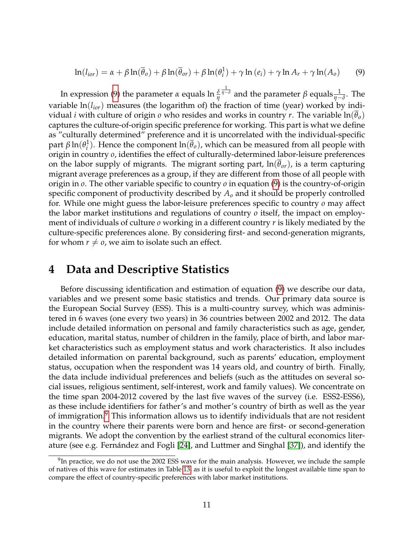<span id="page-10-1"></span>
$$
\ln(l_{ior}) = \alpha + \beta \ln(\overline{\theta}_o) + \beta \ln(\overline{\theta}_{or}) + \beta \ln(\theta_i^1) + \gamma \ln(e_i) + \gamma \ln A_r + \gamma \ln(A_o)
$$
(9)

In expression [\(9\)](#page-10-1) the parameter *α* equals ln *<sup>δ</sup> η* 1 *<sup>η</sup>*−*<sup>δ</sup>* and the parameter *β* equals <sup>1</sup> *η*−*δ* . The variable ln(*lior*) measures (the logarithm of) the fraction of time (year) worked by individual *i* with culture of origin *o* who resides and works in country *r*. The variable  $\ln(\theta_o)$ captures the culture-of-origin specific preference for working. This part is what we define as "culturally determined" preference and it is uncorrelated with the individual-specific part *β* ln(*θ* 1 <sup>1</sup>/<sub>*i*</sub>). Hence the component  $ln(\theta_o)$ , which can be measured from all people with origin in country *o*, identifies the effect of culturally-determined labor-leisure preferences on the labor supply of migrants. The migrant sorting part,  $\ln(\theta_{or})$ , is a term capturing migrant average preferences as a group, if they are different from those of all people with origin in *o*. The other variable specific to country *o* in equation [\(9\)](#page-10-1) is the country-of-origin specific component of productivity described by *A<sup>o</sup>* and it should be properly controlled for. While one might guess the labor-leisure preferences specific to country *o* may affect the labor market institutions and regulations of country *o* itself, the impact on employment of individuals of culture *o* working in a different country *r* is likely mediated by the culture-specific preferences alone. By considering first- and second-generation migrants, for whom  $r \neq o$ , we aim to isolate such an effect.

## <span id="page-10-0"></span>**4 Data and Descriptive Statistics**

Before discussing identification and estimation of equation [\(9\)](#page-10-1) we describe our data, variables and we present some basic statistics and trends. Our primary data source is the European Social Survey (ESS). This is a multi-country survey, which was administered in 6 waves (one every two years) in 36 countries between 2002 and 2012. The data include detailed information on personal and family characteristics such as age, gender, education, marital status, number of children in the family, place of birth, and labor market characteristics such as employment status and work characteristics. It also includes detailed information on parental background, such as parents' education, employment status, occupation when the respondent was 14 years old, and country of birth. Finally, the data include individual preferences and beliefs (such as the attitudes on several social issues, religious sentiment, self-interest, work and family values). We concentrate on the time span 2004-2012 covered by the last five waves of the survey (i.e. ESS2-ESS6), as these include identifiers for father's and mother's country of birth as well as the year of immigration.<sup>[9](#page-10-2)</sup> This information allows us to identify individuals that are not resident in the country where their parents were born and hence are first- or second-generation migrants. We adopt the convention by the earliest strand of the cultural economics liter-ature (see e.g. Fernández and Fogli [\[24\]](#page-49-6), and Luttmer and Singhal [\[37\]](#page-50-3)), and identify the

<span id="page-10-2"></span> $^{9}$ In practice, we do not use the 2002 ESS wave for the main analysis. However, we include the sample of natives of this wave for estimates in Table [13,](#page-47-0) as it is useful to exploit the longest available time span to compare the effect of country-specific preferences with labor market institutions.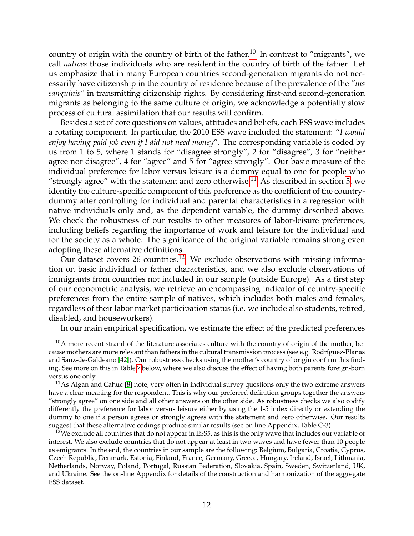country of origin with the country of birth of the father.<sup>[10](#page-11-0)</sup> In contrast to "migrants", we call *natives* those individuals who are resident in the country of birth of the father. Let us emphasize that in many European countries second-generation migrants do not necessarily have citizenship in the country of residence because of the prevalence of the *"ius sanguinis"* in transmitting citizenship rights. By considering first-and second-generation migrants as belonging to the same culture of origin, we acknowledge a potentially slow process of cultural assimilation that our results will confirm.

Besides a set of core questions on values, attitudes and beliefs, each ESS wave includes a rotating component. In particular, the 2010 ESS wave included the statement: "*I would enjoy having paid job even if I did not need money*". The corresponding variable is coded by us from 1 to 5, where 1 stands for "disagree strongly", 2 for "disagree", 3 for "neither agree nor disagree", 4 for "agree" and 5 for "agree strongly". Our basic measure of the individual preference for labor versus leisure is a dummy equal to one for people who "strongly agree" with the statement and zero otherwise.<sup>[11](#page-11-1)</sup> As described in section [5,](#page-14-0) we identify the culture-specific component of this preference as the coefficient of the countrydummy after controlling for individual and parental characteristics in a regression with native individuals only and, as the dependent variable, the dummy described above. We check the robustness of our results to other measures of labor-leisure preferences, including beliefs regarding the importance of work and leisure for the individual and for the society as a whole. The significance of the original variable remains strong even adopting these alternative definitions.

Our dataset covers 26 countries.<sup>[12](#page-11-2)</sup> We exclude observations with missing information on basic individual or father characteristics, and we also exclude observations of immigrants from countries not included in our sample (outside Europe). As a first step of our econometric analysis, we retrieve an encompassing indicator of country-specific preferences from the entire sample of natives, which includes both males and females, regardless of their labor market participation status (i.e. we include also students, retired, disabled, and houseworkers).

In our main empirical specification, we estimate the effect of the predicted preferences

<span id="page-11-0"></span> $10A$  more recent strand of the literature associates culture with the country of origin of the mother, because mothers are more relevant than fathers in the cultural transmission process (see e.g. Rodríguez-Planas and Sanz-de-Galdeano [\[42\]](#page-50-6)). Our robustness checks using the mother's country of origin confirm this finding. See more on this in Table [7](#page-41-0) below, where we also discuss the effect of having both parents foreign-born versus one only.

<span id="page-11-1"></span><sup>&</sup>lt;sup>11</sup>As Algan and Cahuc [\[8\]](#page-48-8) note, very often in individual survey questions only the two extreme answers have a clear meaning for the respondent. This is why our preferred definition groups together the answers "strongly agree" on one side and all other answers on the other side. As robustness checks we also codify differently the preference for labor versus leisure either by using the 1-5 index directly or extending the dummy to one if a person agrees or strongly agrees with the statement and zero otherwise. Our results suggest that these alternative codings produce similar results (see on line Appendix, Table C-3).

<span id="page-11-2"></span> $12$ We exclude all countries that do not appear in ESS5, as this is the only wave that includes our variable of interest. We also exclude countries that do not appear at least in two waves and have fewer than 10 people as emigrants. In the end, the countries in our sample are the following: Belgium, Bulgaria, Croatia, Cyprus, Czech Republic, Denmark, Estonia, Finland, France, Germany, Greece, Hungary, Ireland, Israel, Lithuania, Netherlands, Norway, Poland, Portugal, Russian Federation, Slovakia, Spain, Sweden, Switzerland, UK, and Ukraine. See the on-line Appendix for details of the construction and harmonization of the aggregate ESS dataset.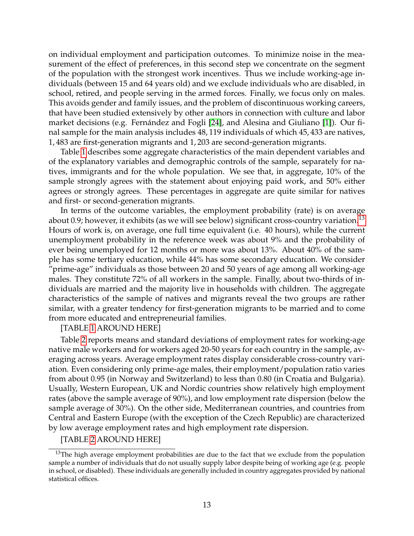on individual employment and participation outcomes. To minimize noise in the measurement of the effect of preferences, in this second step we concentrate on the segment of the population with the strongest work incentives. Thus we include working-age individuals (between 15 and 64 years old) and we exclude individuals who are disabled, in school, retired, and people serving in the armed forces. Finally, we focus only on males. This avoids gender and family issues, and the problem of discontinuous working careers, that have been studied extensively by other authors in connection with culture and labor market decisions (e.g. Fernández and Fogli [\[24\]](#page-49-6), and Alesina and Giuliano [\[1\]](#page-48-1)). Our final sample for the main analysis includes 48, 119 individuals of which 45, 433 are natives, 1, 483 are first-generation migrants and 1, 203 are second-generation migrants.

Table [1](#page-35-0) describes some aggregate characteristics of the main dependent variables and of the explanatory variables and demographic controls of the sample, separately for natives, immigrants and for the whole population. We see that, in aggregate, 10% of the sample strongly agrees with the statement about enjoying paid work, and 50% either agrees or strongly agrees. These percentages in aggregate are quite similar for natives and first- or second-generation migrants.

In terms of the outcome variables, the employment probability (rate) is on average about 0.9; however, it exhibits (as we will see below) significant cross-country variation.<sup>[13](#page-12-0)</sup> Hours of work is, on average, one full time equivalent (i.e. 40 hours), while the current unemployment probability in the reference week was about 9% and the probability of ever being unemployed for 12 months or more was about 13%. About 40% of the sample has some tertiary education, while 44% has some secondary education. We consider "prime-age" individuals as those between 20 and 50 years of age among all working-age males. They constitute 72% of all workers in the sample. Finally, about two-thirds of individuals are married and the majority live in households with children. The aggregate characteristics of the sample of natives and migrants reveal the two groups are rather similar, with a greater tendency for first-generation migrants to be married and to come from more educated and entrepreneurial families.

#### [TABLE [1](#page-35-0) AROUND HERE]

Table [2](#page-36-0) reports means and standard deviations of employment rates for working-age native male workers and for workers aged 20-50 years for each country in the sample, averaging across years. Average employment rates display considerable cross-country variation. Even considering only prime-age males, their employment/population ratio varies from about 0.95 (in Norway and Switzerland) to less than 0.80 (in Croatia and Bulgaria). Usually, Western European, UK and Nordic countries show relatively high employment rates (above the sample average of 90%), and low employment rate dispersion (below the sample average of 30%). On the other side, Mediterranean countries, and countries from Central and Eastern Europe (with the exception of the Czech Republic) are characterized by low average employment rates and high employment rate dispersion.

### [TABLE [2](#page-36-0) AROUND HERE]

<span id="page-12-0"></span><sup>&</sup>lt;sup>13</sup>The high average employment probabilities are due to the fact that we exclude from the population sample a number of individuals that do not usually supply labor despite being of working age (e.g. people in school, or disabled). These individuals are generally included in country aggregates provided by national statistical offices.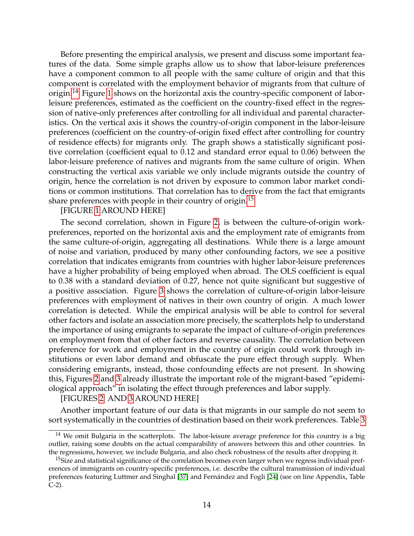Before presenting the empirical analysis, we present and discuss some important features of the data. Some simple graphs allow us to show that labor-leisure preferences have a component common to all people with the same culture of origin and that this component is correlated with the employment behavior of migrants from that culture of origin.<sup>[14](#page-13-0)</sup> Figure [1](#page-32-0) shows on the horizontal axis the country-specific component of laborleisure preferences, estimated as the coefficient on the country-fixed effect in the regression of native-only preferences after controlling for all individual and parental characteristics. On the vertical axis it shows the country-of-origin component in the labor-leisure preferences (coefficient on the country-of-origin fixed effect after controlling for country of residence effects) for migrants only. The graph shows a statistically significant positive correlation (coefficient equal to 0.12 and standard error equal to 0.06) between the labor-leisure preference of natives and migrants from the same culture of origin. When constructing the vertical axis variable we only include migrants outside the country of origin, hence the correlation is not driven by exposure to common labor market conditions or common institutions. That correlation has to derive from the fact that emigrants share preferences with people in their country of origin.<sup>[15](#page-13-1)</sup>

#### [FIGURE [1](#page-32-0) AROUND HERE]

The second correlation, shown in Figure [2,](#page-33-0) is between the culture-of-origin workpreferences, reported on the horizontal axis and the employment rate of emigrants from the same culture-of-origin, aggregating all destinations. While there is a large amount of noise and variation, produced by many other confounding factors, we see a positive correlation that indicates emigrants from countries with higher labor-leisure preferences have a higher probability of being employed when abroad. The OLS coefficient is equal to 0.38 with a standard deviation of 0.27, hence not quite significant but suggestive of a positive association. Figure [3](#page-34-0) shows the correlation of culture-of-origin labor-leisure preferences with employment of natives in their own country of origin. A much lower correlation is detected. While the empirical analysis will be able to control for several other factors and isolate an association more precisely, the scatterplots help to understand the importance of using emigrants to separate the impact of culture-of-origin preferences on employment from that of other factors and reverse causality. The correlation between preference for work and employment in the country of origin could work through institutions or even labor demand and obfuscate the pure effect through supply. When considering emigrants, instead, those confounding effects are not present. In showing this, Figures [2](#page-33-0) and [3](#page-34-0) already illustrate the important role of the migrant-based "epidemiological approach" in isolating the effect through preferences and labor supply.

[FIGURES [2](#page-33-0) AND [3](#page-34-0) AROUND HERE]

Another important feature of our data is that migrants in our sample do not seem to sort systematically in the countries of destination based on their work preferences. Table [3](#page-37-0)

<span id="page-13-0"></span> $14$  We omit Bulgaria in the scatterplots. The labor-leisure average preference for this country is a big outlier, raising some doubts on the actual comparability of answers between this and other countries. In the regressions, however, we include Bulgaria, and also check robustness of the results after dropping it.

<span id="page-13-1"></span><sup>&</sup>lt;sup>15</sup>Size and statistical significance of the correlation becomes even larger when we regress individual preferences of immigrants on country-specific preferences, i.e. describe the cultural transmission of individual preferences featuring Luttmer and Singhal [\[37\]](#page-50-3) and Fernandez and Fogli [\[24\]](#page-49-6) (see on line Appendix, Table ´ C-2).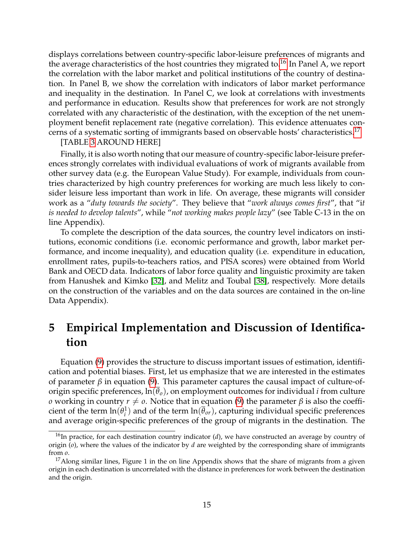displays correlations between country-specific labor-leisure preferences of migrants and the average characteristics of the host countries they migrated to.[16](#page-14-1) In Panel A, we report the correlation with the labor market and political institutions of the country of destination. In Panel B, we show the correlation with indicators of labor market performance and inequality in the destination. In Panel C, we look at correlations with investments and performance in education. Results show that preferences for work are not strongly correlated with any characteristic of the destination, with the exception of the net unemployment benefit replacement rate (negative correlation). This evidence attenuates con-cerns of a systematic sorting of immigrants based on observable hosts' characteristics.<sup>[17](#page-14-2)</sup>

[TABLE [3](#page-37-0) AROUND HERE]

Finally, it is also worth noting that our measure of country-specific labor-leisure preferences strongly correlates with individual evaluations of work of migrants available from other survey data (e.g. the European Value Study). For example, individuals from countries characterized by high country preferences for working are much less likely to consider leisure less important than work in life. On average, these migrants will consider work as a "*duty towards the society*". They believe that "*work always comes first*", that "i*t is needed to develop talents*", while "*not working makes people lazy*" (see Table C-13 in the on line Appendix).

To complete the description of the data sources, the country level indicators on institutions, economic conditions (i.e. economic performance and growth, labor market performance, and income inequality), and education quality (i.e. expenditure in education, enrollment rates, pupils-to-teachers ratios, and PISA scores) were obtained from World Bank and OECD data. Indicators of labor force quality and linguistic proximity are taken from Hanushek and Kimko [\[32\]](#page-50-7), and Melitz and Toubal [\[38\]](#page-50-8), respectively. More details on the construction of the variables and on the data sources are contained in the on-line Data Appendix).

## <span id="page-14-0"></span>**5 Empirical Implementation and Discussion of Identification**

Equation [\(9\)](#page-10-1) provides the structure to discuss important issues of estimation, identification and potential biases. First, let us emphasize that we are interested in the estimates of parameter  $β$  in equation [\(9\)](#page-10-1). This parameter captures the causal impact of culture-oforigin specific preferences,  $\ln(\theta_o)$ , on employment outcomes for individual *i* from culture *o* working in country  $r \neq o$ . Notice that in equation [\(9\)](#page-10-1) the parameter  $\beta$  is also the coefficient of the term  $\ln(\theta_i^1)$  $\hat{i}$ ) and of the term ln( $θ$ <sub>*or*</sub>), capturing individual specific preferences and average origin-specific preferences of the group of migrants in the destination. The

<span id="page-14-1"></span><sup>&</sup>lt;sup>16</sup>In practice, for each destination country indicator (*d*), we have constructed an average by country of origin (*o*), where the values of the indicator by *d* are weighted by the corresponding share of immigrants from *o*.

<span id="page-14-2"></span> $17$ Along similar lines, Figure 1 in the on line Appendix shows that the share of migrants from a given origin in each destination is uncorrelated with the distance in preferences for work between the destination and the origin.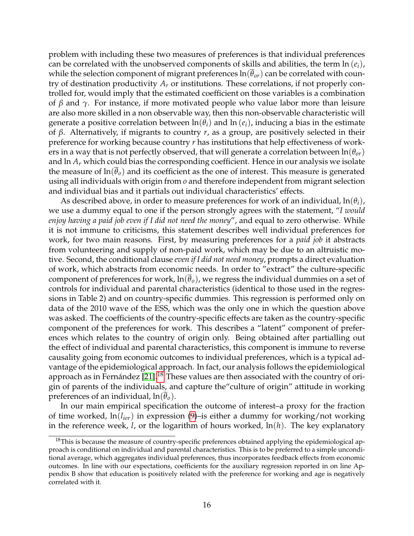problem with including these two measures of preferences is that individual preferences can be correlated with the unobserved components of skills and abilities, the term  $\ln (e_i)$ , while the selection component of migrant preferences  $\ln(\overline{\theta}_{or})$  can be correlated with country of destination productivity  $A_r$  or institutions. These correlations, if not properly controlled for, would imply that the estimated coefficient on those variables is a combination of *β* and *γ*. For instance, if more motivated people who value labor more than leisure are also more skilled in a non observable way, then this non-observable characteristic will generate a positive correlation between  $\ln(\theta_i)$  and  $\ln(e_i)$ , inducing a bias in the estimate of *β*. Alternatively, if migrants to country *r*, as a group, are positively selected in their preference for working because country *r* has institutions that help effectiveness of workers in a way that is not perfectly observed, that will generate a correlation between ln(*θor*) and  $\ln A_t$  which could bias the corresponding coefficient. Hence in our analysis we isolate the measure of  $\ln(\bar{\theta}_0)$  and its coefficient as the one of interest. This measure is generated using all individuals with origin from *o* and therefore independent from migrant selection and individual bias and it partials out individual characteristics' effects.

As described above, in order to measure preferences for work of an individual,  $\ln(\theta_i)$ , we use a dummy equal to one if the person strongly agrees with the statement, "*I would enjoy having a paid job even if I did not need the money*", and equal to zero otherwise. While it is not immune to criticisms, this statement describes well individual preferences for work, for two main reasons. First, by measuring preferences for a *paid job* it abstracts from volunteering and supply of non-paid work, which may be due to an altruistic motive. Second, the conditional clause *even if I did not need money*, prompts a direct evaluation of work, which abstracts from economic needs. In order to "extract" the culture-specific component of preferences for work,  $\ln(\overline{\theta}_o)$ , we regress the individual dummies on a set of controls for individual and parental characteristics (identical to those used in the regressions in Table 2) and on country-specific dummies. This regression is performed only on data of the 2010 wave of the ESS, which was the only one in which the question above was asked. The coefficients of the country-specific effects are taken as the country-specific component of the preferences for work. This describes a "latent" component of preferences which relates to the country of origin only. Being obtained after partialling out the effect of individual and parental characteristics, this component is immune to reverse causality going from economic outcomes to individual preferences, which is a typical advantage of the epidemiological approach. In fact, our analysis follows the epidemiological approach as in Fernández [\[21\]](#page-49-4). $^{18}$  $^{18}$  $^{18}$  These values are then associated with the country of origin of parents of the individuals, and capture the"culture of origin" attitude in working preferences of an individual,  $ln(\bar{\theta}_o)$ .

In our main empirical specification the outcome of interest–a proxy for the fraction of time worked, ln(*lior*) in expression [\(9\)](#page-10-1)–is either a dummy for working/not working in the reference week, *l*, or the logarithm of hours worked, ln(*h*). The key explanatory

<span id="page-15-0"></span><sup>&</sup>lt;sup>18</sup>This is because the measure of country-specific preferences obtained applying the epidemiological approach is conditional on individual and parental characteristics. This is to be preferred to a simple unconditional average, which aggregates individual preferences, thus incorporates feedback effects from economic outcomes. In line with our expectations, coefficients for the auxiliary regression reported in on line Appendix B show that education is positively related with the preference for working and age is negatively correlated with it.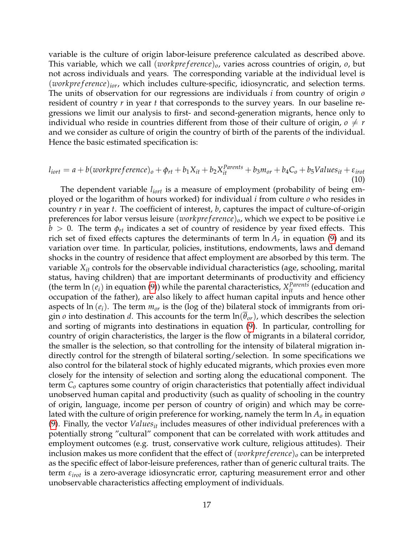variable is the culture of origin labor-leisure preference calculated as described above. This variable, which we call (*workpre f erence*)<sub>o</sub>, varies across countries of origin, *o*, but not across individuals and years. The corresponding variable at the individual level is (*workpre f erence*)*ior*, which includes culture-specific, idiosyncratic, and selection terms. The units of observation for our regressions are individuals *i* from country of origin *o* resident of country *r* in year *t* that corresponds to the survey years. In our baseline regressions we limit our analysis to first- and second-generation migrants, hence only to individual who reside in countries different from those of their culture of origin,  $o \neq r$ and we consider as culture of origin the country of birth of the parents of the individual. Hence the basic estimated specification is:

<span id="page-16-0"></span>
$$
l_{iort} = a + b(work preference)_o + \phi_{rt} + b_1 X_{it} + b_2 X_{it}^{Parents} + b_3 m_{or} + b_4 C_o + b_5 Values_{it} + \varepsilon_{irot}
$$
\n(10)

The dependent variable *liort* is a measure of employment (probability of being employed or the logarithm of hours worked) for individual *i* from culture *o* who resides in country *r* in year *t*. The coefficient of interest, *b*, captures the impact of culture-of-origin preferences for labor versus leisure (*workpre f erence*)*o*, which we expect to be positive i.e *b* > 0. The term *φrt* indicates a set of country of residence by year fixed effects. This rich set of fixed effects captures the determinants of term  $\ln A_r$  in equation [\(9\)](#page-10-1) and its variation over time. In particular, policies, institutions, endowments, laws and demand shocks in the country of residence that affect employment are absorbed by this term. The variable *Xit* controls for the observable individual characteristics (age, schooling, marital status, having children) that are important determinants of productivity and efficiency (the term  $\ln(e_i)$  in equation [\(9\)](#page-10-1)) while the parental characteristics,  $X_{it}^{Parents}$  (education and occupation of the father), are also likely to affect human capital inputs and hence other aspects of ln (*ei*). The term *mor* is the (log of the) bilateral stock of immigrants from origin *o* into destination *d*. This accounts for the term  $\ln(\theta_{or})$ , which describes the selection and sorting of migrants into destinations in equation [\(9\)](#page-10-1). In particular, controlling for country of origin characteristics, the larger is the flow of migrants in a bilateral corridor, the smaller is the selection, so that controlling for the intensity of bilateral migration indirectly control for the strength of bilateral sorting/selection. In some specifications we also control for the bilateral stock of highly educated migrants, which proxies even more closely for the intensity of selection and sorting along the educational component. The term *C<sup>o</sup>* captures some country of origin characteristics that potentially affect individual unobserved human capital and productivity (such as quality of schooling in the country of origin, language, income per person of country of origin) and which may be correlated with the culture of origin preference for working, namely the term ln *A<sup>o</sup>* in equation [\(9\)](#page-10-1). Finally, the vector *Valuesit* includes measures of other individual preferences with a potentially strong "cultural" component that can be correlated with work attitudes and employment outcomes (e.g. trust, conservative work culture, religious attitudes). Their inclusion makes us more confident that the effect of (*workpre f erence*)*<sup>o</sup>* can be interpreted as the specific effect of labor-leisure preferences, rather than of generic cultural traits. The term *εirot* is a zero-average idiosyncratic error, capturing measurement error and other unobservable characteristics affecting employment of individuals.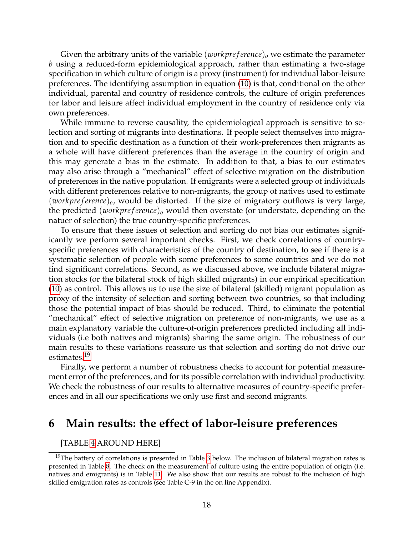Given the arbitrary units of the variable (*workpre f erence*)*<sup>o</sup>* we estimate the parameter *b* using a reduced-form epidemiological approach, rather than estimating a two-stage specification in which culture of origin is a proxy (instrument) for individual labor-leisure preferences. The identifying assumption in equation [\(10\)](#page-16-0) is that, conditional on the other individual, parental and country of residence controls, the culture of origin preferences for labor and leisure affect individual employment in the country of residence only via own preferences.

While immune to reverse causality, the epidemiological approach is sensitive to selection and sorting of migrants into destinations. If people select themselves into migration and to specific destination as a function of their work-preferences then migrants as a whole will have different preferences than the average in the country of origin and this may generate a bias in the estimate. In addition to that, a bias to our estimates may also arise through a "mechanical" effect of selective migration on the distribution of preferences in the native population. If emigrants were a selected group of individuals with different preferences relative to non-migrants, the group of natives used to estimate (*workpre f erence*)*o*, would be distorted. If the size of migratory outflows is very large, the predicted (*workpre f erence*)*<sup>o</sup>* would then overstate (or understate, depending on the natuer of selection) the true country-specific preferences.

To ensure that these issues of selection and sorting do not bias our estimates significantly we perform several important checks. First, we check correlations of countryspecific preferences with characteristics of the country of destination, to see if there is a systematic selection of people with some preferences to some countries and we do not find significant correlations. Second, as we discussed above, we include bilateral migration stocks (or the bilateral stock of high skilled migrants) in our empirical specification [\(10\)](#page-16-0) as control. This allows us to use the size of bilateral (skilled) migrant population as proxy of the intensity of selection and sorting between two countries, so that including those the potential impact of bias should be reduced. Third, to eliminate the potential "mechanical" effect of selective migration on preference of non-migrants, we use as a main explanatory variable the culture-of-origin preferences predicted including all individuals (i.e both natives and migrants) sharing the same origin. The robustness of our main results to these variations reassure us that selection and sorting do not drive our estimates.<sup>[19](#page-17-1)</sup>

Finally, we perform a number of robustness checks to account for potential measurement error of the preferences, and for its possible correlation with individual productivity. We check the robustness of our results to alternative measures of country-specific preferences and in all our specifications we only use first and second migrants.

## <span id="page-17-0"></span>**6 Main results: the effect of labor-leisure preferences**

#### <span id="page-17-1"></span>[TABLE [4](#page-38-0) AROUND HERE]

<sup>&</sup>lt;sup>19</sup>The battery of correlations is presented in Table [3](#page-37-0) below. The inclusion of bilateral migration rates is presented in Table [8.](#page-42-0) The check on the measurement of culture using the entire population of origin (i.e. natives and emigrants) is in Table [11.](#page-45-0) We also show that our results are robust to the inclusion of high skilled emigration rates as controls (see Table C-9 in the on line Appendix).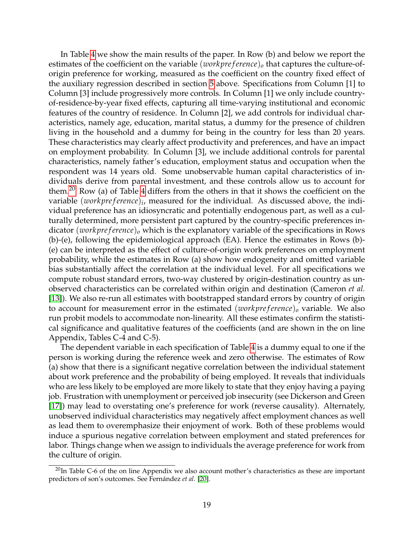In Table [4](#page-38-0) we show the main results of the paper. In Row (b) and below we report the estimates of the coefficient on the variable (*workpre f erence*)<sub>0</sub> that captures the culture-oforigin preference for working, measured as the coefficient on the country fixed effect of the auxiliary regression described in section [5](#page-14-0) above. Specifications from Column [1] to Column [3] include progressively more controls. In Column [1] we only include countryof-residence-by-year fixed effects, capturing all time-varying institutional and economic features of the country of residence. In Column [2], we add controls for individual characteristics, namely age, education, marital status, a dummy for the presence of children living in the household and a dummy for being in the country for less than 20 years. These characteristics may clearly affect productivity and preferences, and have an impact on employment probability. In Column [3], we include additional controls for parental characteristics, namely father's education, employment status and occupation when the respondent was 14 years old. Some unobservable human capital characteristics of individuals derive from parental investment, and these controls allow us to account for them.<sup>[20](#page-18-0)</sup> Row (a) of Table [4](#page-38-0) differs from the others in that it shows the coefficient on the variable (*workpreference*)<sub>*i*</sub>, measured for the individual. As discussed above, the individual preference has an idiosyncratic and potentially endogenous part, as well as a culturally determined, more persistent part captured by the country-specific preferences indicator (*workpre f erence*)<sub>o</sub> which is the explanatory variable of the specifications in Rows (b)-(e), following the epidemiological approach (EA). Hence the estimates in Rows (b)- (e) can be interpreted as the effect of culture-of-origin work preferences on employment probability, while the estimates in Row (a) show how endogeneity and omitted variable bias substantially affect the correlation at the individual level. For all specifications we compute robust standard errors, two-way clustered by origin-destination country as unobserved characteristics can be correlated within origin and destination (Cameron *et al.* [\[13\]](#page-48-11)). We also re-run all estimates with bootstrapped standard errors by country of origin to account for measurement error in the estimated (*workpre f erence*)*<sup>o</sup>* variable. We also run probit models to accommodate non-linearity. All these estimates confirm the statistical significance and qualitative features of the coefficients (and are shown in the on line Appendix, Tables C-4 and C-5).

The dependent variable in each specification of Table [4](#page-38-0) is a dummy equal to one if the person is working during the reference week and zero otherwise. The estimates of Row (a) show that there is a significant negative correlation between the individual statement about work preference and the probability of being employed. It reveals that individuals who are less likely to be employed are more likely to state that they enjoy having a paying job. Frustration with unemployment or perceived job insecurity (see Dickerson and Green [\[17\]](#page-49-9)) may lead to overstating one's preference for work (reverse causality). Alternately, unobserved individual characteristics may negatively affect employment chances as well as lead them to overemphasize their enjoyment of work. Both of these problems would induce a spurious negative correlation between employment and stated preferences for labor. Things change when we assign to individuals the average preference for work from the culture of origin.

<span id="page-18-0"></span> $^{20}$ In Table C-6 of the on line Appendix we also account mother's characteristics as these are important predictors of son's outcomes. See Fernández et al. [\[20\]](#page-49-1).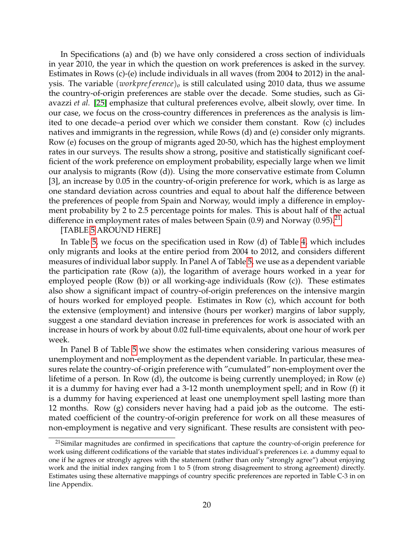In Specifications (a) and (b) we have only considered a cross section of individuals in year 2010, the year in which the question on work preferences is asked in the survey. Estimates in Rows (c)-(e) include individuals in all waves (from 2004 to 2012) in the analysis. The variable (*workpre f erence*)*<sup>o</sup>* is still calculated using 2010 data, thus we assume the country-of-origin preferences are stable over the decade. Some studies, such as Giavazzi *et al.* [\[25\]](#page-49-2) emphasize that cultural preferences evolve, albeit slowly, over time. In our case, we focus on the cross-country differences in preferences as the analysis is limited to one decade–a period over which we consider them constant. Row (c) includes natives and immigrants in the regression, while Rows (d) and (e) consider only migrants. Row (e) focuses on the group of migrants aged 20-50, which has the highest employment rates in our surveys. The results show a strong, positive and statistically significant coefficient of the work preference on employment probability, especially large when we limit our analysis to migrants (Row (d)). Using the more conservative estimate from Column [3], an increase by 0.05 in the country-of-origin preference for work, which is as large as one standard deviation across countries and equal to about half the difference between the preferences of people from Spain and Norway, would imply a difference in employment probability by 2 to 2.5 percentage points for males. This is about half of the actual difference in employment rates of males between Spain  $(0.9)$  and Norway  $(0.95)$ <sup>[21](#page-19-0)</sup>

#### [TABLE [5](#page-39-0) AROUND HERE]

In Table [5,](#page-39-0) we focus on the specification used in Row (d) of Table [4,](#page-38-0) which includes only migrants and looks at the entire period from 2004 to 2012, and considers different measures of individual labor supply. In Panel A of Table [5,](#page-39-0) we use as a dependent variable the participation rate (Row (a)), the logarithm of average hours worked in a year for employed people (Row (b)) or all working-age individuals (Row (c)). These estimates also show a significant impact of country-of-origin preferences on the intensive margin of hours worked for employed people. Estimates in Row (c), which account for both the extensive (employment) and intensive (hours per worker) margins of labor supply, suggest a one standard deviation increase in preferences for work is associated with an increase in hours of work by about 0.02 full-time equivalents, about one hour of work per week.

In Panel B of Table [5](#page-39-0) we show the estimates when considering various measures of unemployment and non-employment as the dependent variable. In particular, these measures relate the country-of-origin preference with "cumulated" non-employment over the lifetime of a person. In Row (d), the outcome is being currently unemployed; in Row (e) it is a dummy for having ever had a 3-12 month unemployment spell; and in Row (f) it is a dummy for having experienced at least one unemployment spell lasting more than 12 months. Row (g) considers never having had a paid job as the outcome. The estimated coefficient of the country-of-origin preference for work on all these measures of non-employment is negative and very significant. These results are consistent with peo-

<span id="page-19-0"></span><sup>&</sup>lt;sup>21</sup>Similar magnitudes are confirmed in specifications that capture the country-of-origin preference for work using different codifications of the variable that states individual's preferences i.e. a dummy equal to one if he agrees or strongly agrees with the statement (rather than only "strongly agree") about enjoying work and the initial index ranging from 1 to 5 (from strong disagreement to strong agreement) directly. Estimates using these alternative mappings of country specific preferences are reported in Table C-3 in on line Appendix.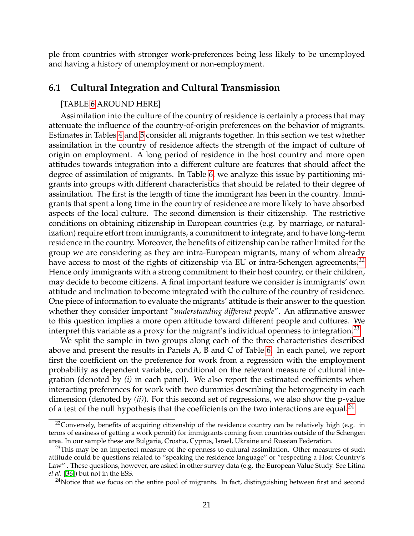ple from countries with stronger work-preferences being less likely to be unemployed and having a history of unemployment or non-employment.

### **6.1 Cultural Integration and Cultural Transmission**

#### [TABLE [6](#page-40-0) AROUND HERE]

Assimilation into the culture of the country of residence is certainly a process that may attenuate the influence of the country-of-origin preferences on the behavior of migrants. Estimates in Tables [4](#page-38-0) and [5](#page-39-0) consider all migrants together. In this section we test whether assimilation in the country of residence affects the strength of the impact of culture of origin on employment. A long period of residence in the host country and more open attitudes towards integration into a different culture are features that should affect the degree of assimilation of migrants. In Table [6,](#page-40-0) we analyze this issue by partitioning migrants into groups with different characteristics that should be related to their degree of assimilation. The first is the length of time the immigrant has been in the country. Immigrants that spent a long time in the country of residence are more likely to have absorbed aspects of the local culture. The second dimension is their citizenship. The restrictive conditions on obtaining citizenship in European countries (e.g. by marriage, or naturalization) require effort from immigrants, a commitment to integrate, and to have long-term residence in the country. Moreover, the benefits of citizenship can be rather limited for the group we are considering as they are intra-European migrants, many of whom already have access to most of the rights of citizenship via EU or intra-Schengen agreements.<sup>[22](#page-20-0)</sup> Hence only immigrants with a strong commitment to their host country, or their children, may decide to become citizens. A final important feature we consider is immigrants' own attitude and inclination to become integrated with the culture of the country of residence. One piece of information to evaluate the migrants' attitude is their answer to the question whether they consider important "*understanding different people*". An affirmative answer to this question implies a more open attitude toward different people and cultures. We interpret this variable as a proxy for the migrant's individual openness to integration.<sup>[23](#page-20-1)</sup>

We split the sample in two groups along each of the three characteristics described above and present the results in Panels A, B and C of Table [6.](#page-40-0) In each panel, we report first the coefficient on the preference for work from a regression with the employment probability as dependent variable, conditional on the relevant measure of cultural integration (denoted by *(i)* in each panel). We also report the estimated coefficients when interacting preferences for work with two dummies describing the heterogeneity in each dimension (denoted by *(ii)*). For this second set of regressions, we also show the p-value of a test of the null hypothesis that the coefficients on the two interactions are equal.<sup>[24](#page-20-2)</sup>

<span id="page-20-0"></span><sup>&</sup>lt;sup>22</sup>Conversely, benefits of acquiring citizenship of the residence country can be relatively high (e.g. in terms of easiness of getting a work permit) for immigrants coming from countries outside of the Schengen area. In our sample these are Bulgaria, Croatia, Cyprus, Israel, Ukraine and Russian Federation.

<span id="page-20-1"></span> $^{23}$ This may be an imperfect measure of the openness to cultural assimilation. Other measures of such attitude could be questions related to "speaking the residence language" or "respecting a Host Country's Law" . These questions, however, are asked in other survey data (e.g. the European Value Study. See Litina *et al.* [\[36\]](#page-50-9)) but not in the ESS.

<span id="page-20-2"></span> $^{24}$ Notice that we focus on the entire pool of migrants. In fact, distinguishing between first and second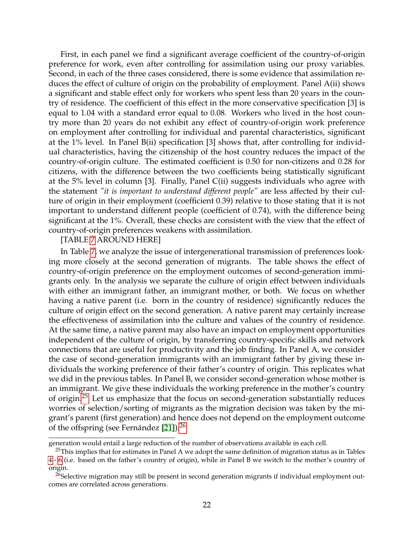First, in each panel we find a significant average coefficient of the country-of-origin preference for work, even after controlling for assimilation using our proxy variables. Second, in each of the three cases considered, there is some evidence that assimilation reduces the effect of culture of origin on the probability of employment. Panel A(ii) shows a significant and stable effect only for workers who spent less than 20 years in the country of residence. The coefficient of this effect in the more conservative specification [3] is equal to 1.04 with a standard error equal to 0.08. Workers who lived in the host country more than 20 years do not exhibit any effect of country-of-origin work preference on employment after controlling for individual and parental characteristics, significant at the 1% level. In Panel B(ii) specification [3] shows that, after controlling for individual characteristics, having the citizenship of the host country reduces the impact of the country-of-origin culture. The estimated coefficient is 0.50 for non-citizens and 0.28 for citizens, with the difference between the two coefficients being statistically significant at the 5% level in column [3]. Finally, Panel C(ii) suggests individuals who agree with the statement *"it is important to understand different people"* are less affected by their culture of origin in their employment (coefficient 0.39) relative to those stating that it is not important to understand different people (coefficient of 0.74), with the difference being significant at the 1%. Overall, these checks are consistent with the view that the effect of country-of-origin preferences weakens with assimilation.

### [TABLE [7](#page-41-0) AROUND HERE]

In Table [7,](#page-41-0) we analyze the issue of intergenerational transmission of preferences looking more closely at the second generation of migrants. The table shows the effect of country-of-origin preference on the employment outcomes of second-generation immigrants only. In the analysis we separate the culture of origin effect between individuals with either an immigrant father, an immigrant mother, or both. We focus on whether having a native parent (i.e. born in the country of residence) significantly reduces the culture of origin effect on the second generation. A native parent may certainly increase the effectiveness of assimilation into the culture and values of the country of residence. At the same time, a native parent may also have an impact on employment opportunities independent of the culture of origin, by transferring country-specific skills and network connections that are useful for productivity and the job finding. In Panel A, we consider the case of second-generation immigrants with an immigrant father by giving these individuals the working preference of their father's country of origin. This replicates what we did in the previous tables. In Panel B, we consider second-generation whose mother is an immigrant. We give these individuals the working preference in the mother's country of origin.<sup>[25](#page-21-0)</sup> Let us emphasize that the focus on second-generation substantially reduces worries of selection/sorting of migrants as the migration decision was taken by the migrant's parent (first generation) and hence does not depend on the employment outcome of the offspring (see Fernández [\[21\]](#page-49-4)). $^{26}$  $^{26}$  $^{26}$ 

generation would entail a large reduction of the number of observations available in each cell.

<span id="page-21-0"></span><sup>&</sup>lt;sup>25</sup>This implies that for estimates in Panel A we adopt the same definition of migration status as in Tables [4](#page-38-0) - [6](#page-40-0) (i.e. based on the father's country of origin), while in Panel B we switch to the mother's country of origin.

<span id="page-21-1"></span><sup>&</sup>lt;sup>26</sup>Selective migration may still be present in second generation migrants if individual employment outcomes are correlated across generations.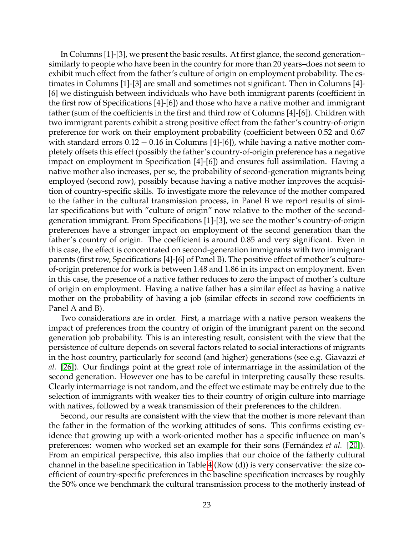In Columns [1]-[3], we present the basic results. At first glance, the second generation– similarly to people who have been in the country for more than 20 years–does not seem to exhibit much effect from the father's culture of origin on employment probability. The estimates in Columns [1]-[3] are small and sometimes not significant. Then in Columns [4]- [6] we distinguish between individuals who have both immigrant parents (coefficient in the first row of Specifications [4]-[6]) and those who have a native mother and immigrant father (sum of the coefficients in the first and third row of Columns [4]-[6]). Children with two immigrant parents exhibit a strong positive effect from the father's country-of-origin preference for work on their employment probability (coefficient between 0.52 and 0.67 with standard errors  $0.12 - 0.16$  in Columns [4]-[6]), while having a native mother completely offsets this effect (possibly the father's country-of-origin preference has a negative impact on employment in Specification [4]-[6]) and ensures full assimilation. Having a native mother also increases, per se, the probability of second-generation migrants being employed (second row), possibly because having a native mother improves the acquisition of country-specific skills. To investigate more the relevance of the mother compared to the father in the cultural transmission process, in Panel B we report results of similar specifications but with "culture of origin" now relative to the mother of the secondgeneration immigrant. From Specifications [1]-[3], we see the mother's country-of-origin preferences have a stronger impact on employment of the second generation than the father's country of origin. The coefficient is around 0.85 and very significant. Even in this case, the effect is concentrated on second-generation immigrants with two immigrant parents (first row, Specifications [4]-[6] of Panel B). The positive effect of mother's cultureof-origin preference for work is between 1.48 and 1.86 in its impact on employment. Even in this case, the presence of a native father reduces to zero the impact of mother's culture of origin on employment. Having a native father has a similar effect as having a native mother on the probability of having a job (similar effects in second row coefficients in Panel A and B).

Two considerations are in order. First, a marriage with a native person weakens the impact of preferences from the country of origin of the immigrant parent on the second generation job probability. This is an interesting result, consistent with the view that the persistence of culture depends on several factors related to social interactions of migrants in the host country, particularly for second (and higher) generations (see e.g. Giavazzi *et al.* [\[26\]](#page-49-10)). Our findings point at the great role of intermarriage in the assimilation of the second generation. However one has to be careful in interpreting causally these results. Clearly intermarriage is not random, and the effect we estimate may be entirely due to the selection of immigrants with weaker ties to their country of origin culture into marriage with natives, followed by a weak transmission of their preferences to the children.

Second, our results are consistent with the view that the mother is more relevant than the father in the formation of the working attitudes of sons. This confirms existing evidence that growing up with a work-oriented mother has a specific influence on man's preferences: women who worked set an example for their sons (Fernández *et al.* [\[20\]](#page-49-1)). From an empirical perspective, this also implies that our choice of the fatherly cultural channel in the baseline specification in Table [4](#page-38-0) (Row (d)) is very conservative: the size coefficient of country-specific preferences in the baseline specification increases by roughly the 50% once we benchmark the cultural transmission process to the motherly instead of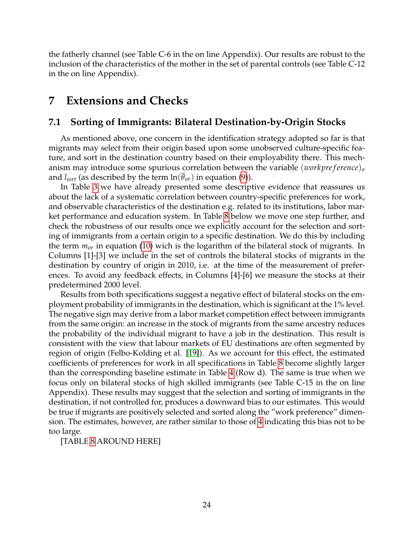the fatherly channel (see Table C-6 in the on line Appendix). Our results are robust to the inclusion of the characteristics of the mother in the set of parental controls (see Table C-12 in the on line Appendix).

## <span id="page-23-0"></span>**7 Extensions and Checks**

### **7.1 Sorting of Immigrants: Bilateral Destination-by-Origin Stocks**

As mentioned above, one concern in the identification strategy adopted so far is that migrants may select from their origin based upon some unobserved culture-specific feature, and sort in the destination country based on their employability there. This mechanism may introduce some spurious correlation between the variable (*workpre f erence*)*<sup>o</sup>* and  $l_{iort}$  (as described by the term  $\ln(\theta_{or})$  in equation [\(9\)](#page-10-1)).

In Table [3](#page-37-0) we have already presented some descriptive evidence that reassures us about the lack of a systematic correlation between country-specific preferences for work, and observable characteristics of the destination e.g. related to its institutions, labor market performance and education system. In Table [8](#page-42-0) below we move one step further, and check the robustness of our results once we explicitly account for the selection and sorting of immigrants from a certain origin to a specific destination. We do this by including the term *mor* in equation [\(10\)](#page-16-0) wich is the logarithm of the bilateral stock of migrants. In Columns [1]-[3] we include in the set of controls the bilateral stocks of migrants in the destination by country of origin in 2010, i.e. at the time of the measurement of preferences. To avoid any feedback effects, in Columns [4]-[6] we measure the stocks at their predetermined 2000 level.

Results from both specifications suggest a negative effect of bilateral stocks on the employment probability of immigrants in the destination, which is significant at the 1% level. The negative sign may derive from a labor market competition effect between immigrants from the same origin: an increase in the stock of migrants from the same ancestry reduces the probability of the individual migrant to have a job in the destination. This result is consistent with the view that labour markets of EU destinations are often segmented by region of origin (Felbo-Kolding et al. [\[19\]](#page-49-11)). As we account for this effect, the estimated coefficients of preferences for work in all specifications in Table [8](#page-42-0) become slightly larger than the corresponding baseline estimate in Table [4](#page-38-0) (Row d). The same is true when we focus only on bilateral stocks of high skilled immigrants (see Table C-15 in the on line Appendix). These results may suggest that the selection and sorting of immigrants in the destination, if not controlled for, produces a downward bias to our estimates. This would be true if migrants are positively selected and sorted along the "work preference" dimension. The estimates, however, are rather similar to those of [4](#page-38-0) indicating this bias not to be too large.

[TABLE [8](#page-42-0) AROUND HERE]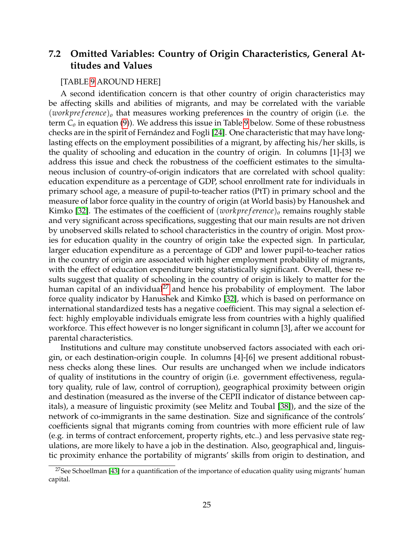## **7.2 Omitted Variables: Country of Origin Characteristics, General Attitudes and Values**

#### [TABLE [9](#page-43-0) AROUND HERE]

A second identification concern is that other country of origin characteristics may be affecting skills and abilities of migrants, and may be correlated with the variable (*workpre ference*)<sub>o</sub> that measures working preferences in the country of origin (i.e. the term *C<sup>o</sup>* in equation [\(9\)](#page-10-1)). We address this issue in Table [9](#page-43-0) below. Some of these robustness checks are in the spirit of Fernandez and Fogli [\[24\]](#page-49-6). One characteristic that may have long- ´ lasting effects on the employment possibilities of a migrant, by affecting his/her skills, is the quality of schooling and education in the country of origin. In columns [1]-[3] we address this issue and check the robustness of the coefficient estimates to the simultaneous inclusion of country-of-origin indicators that are correlated with school quality: education expenditure as a percentage of GDP, school enrollment rate for individuals in primary school age, a measure of pupil-to-teacher ratios (PtT) in primary school and the measure of labor force quality in the country of origin (at World basis) by Hanoushek and Kimko [\[32\]](#page-50-7). The estimates of the coefficient of (*workpre f erence*)*<sup>o</sup>* remains roughly stable and very significant across specifications, suggesting that our main results are not driven by unobserved skills related to school characteristics in the country of origin. Most proxies for education quality in the country of origin take the expected sign. In particular, larger education expenditure as a percentage of GDP and lower pupil-to-teacher ratios in the country of origin are associated with higher employment probability of migrants, with the effect of education expenditure being statistically significant. Overall, these results suggest that quality of schooling in the country of origin is likely to matter for the human capital of an individual<sup>[27](#page-24-0)</sup> and hence his probability of employment. The labor force quality indicator by Hanushek and Kimko [\[32\]](#page-50-7), which is based on performance on international standardized tests has a negative coefficient. This may signal a selection effect: highly employable individuals emigrate less from countries with a highly qualified workforce. This effect however is no longer significant in column [3], after we account for parental characteristics.

Institutions and culture may constitute unobserved factors associated with each origin, or each destination-origin couple. In columns [4]-[6] we present additional robustness checks along these lines. Our results are unchanged when we include indicators of quality of institutions in the country of origin (i.e. government effectiveness, regulatory quality, rule of law, control of corruption), geographical proximity between origin and destination (measured as the inverse of the CEPII indicator of distance between capitals), a measure of linguistic proximity (see Melitz and Toubal [\[38\]](#page-50-8)), and the size of the network of co-immigrants in the same destination. Size and significance of the controls' coefficients signal that migrants coming from countries with more efficient rule of law (e.g. in terms of contract enforcement, property rights, etc..) and less pervasive state regulations, are more likely to have a job in the destination. Also, geographical and, linguistic proximity enhance the portability of migrants' skills from origin to destination, and

<span id="page-24-0"></span> $27$ See Schoellman [\[43\]](#page-50-10) for a quantification of the importance of education quality using migrants' human capital.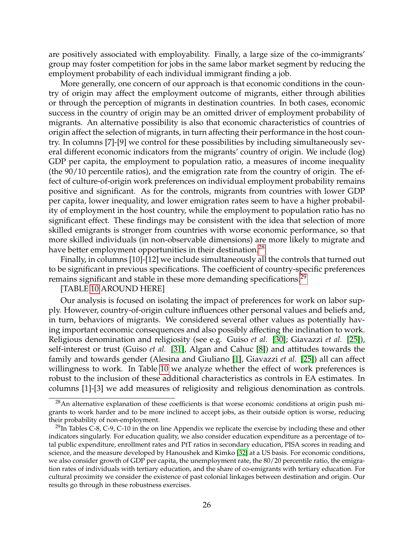are positively associated with employability. Finally, a large size of the co-immigrants' group may foster competition for jobs in the same labor market segment by reducing the employment probability of each individual immigrant finding a job.

More generally, one concern of our approach is that economic conditions in the country of origin may affect the employment outcome of migrants, either through abilities or through the perception of migrants in destination countries. In both cases, economic success in the country of origin may be an omitted driver of employment probability of migrants. An alternative possibility is also that economic characteristics of countries of origin affect the selection of migrants, in turn affecting their performance in the host country. In columns [7]-[9] we control for these possibilities by including simultaneously several different economic indicators from the migrants' country of origin. We include (log) GDP per capita, the employment to population ratio, a measures of income inequality (the 90/10 percentile ratios), and the emigration rate from the country of origin. The effect of culture-of-origin work preferences on individual employment probability remains positive and significant. As for the controls, migrants from countries with lower GDP per capita, lower inequality, and lower emigration rates seem to have a higher probability of employment in the host country, while the employment to population ratio has no significant effect. These findings may be consistent with the idea that selection of more skilled emigrants is stronger from countries with worse economic performance, so that more skilled individuals (in non-observable dimensions) are more likely to migrate and have better employment opportunities in their destination.<sup>[28](#page-25-0)</sup>

Finally, in columns [10]-[12] we include simultaneously all the controls that turned out to be significant in previous specifications. The coefficient of country-specific preferences remains significant and stable in these more demanding specifications.<sup>[29](#page-25-1)</sup>

[TABLE [10](#page-44-0) AROUND HERE]

Our analysis is focused on isolating the impact of preferences for work on labor supply. However, country-of-origin culture influences other personal values and beliefs and, in turn, behaviors of migrants. We considered several other values as potentially having important economic consequences and also possibly affecting the inclination to work. Religious denomination and religiosity (see e.g. Guiso *et al.* [\[30\]](#page-50-11); Giavazzi *et al.* [\[25\]](#page-49-2)), self-interest or trust (Guiso *et al.* [\[31\]](#page-50-12), Algan and Cahuc [\[8\]](#page-48-8)) and attitudes towards the family and towards gender (Alesina and Giuliano [\[1\]](#page-48-1), Giavazzi *et al.* [\[25\]](#page-49-2)) all can affect willingness to work. In Table [10](#page-44-0) we analyze whether the effect of work preferences is robust to the inclusion of these additional characteristics as controls in EA estimates. In columns [1]-[3] we add measures of religiosity and religious denomination as controls.

<span id="page-25-0"></span> $28$ An alternative explanation of these coefficients is that worse economic conditions at origin push migrants to work harder and to be more inclined to accept jobs, as their outside option is worse, reducing their probability of non-employment.

<span id="page-25-1"></span> $^{29}$ In Tables C-8, C-9, C-10 in the on line Appendix we replicate the exercise by including these and other indicators singularly. For education quality, we also consider education expenditure as a percentage of total public expenditure, enrollment rates and PtT ratios in secondary education, PISA scores in reading and science, and the measure developed by Hanoushek and Kimko [\[32\]](#page-50-7) at a US basis. For economic conditions, we also consider growth of GDP per capita, the unemployment rate, the 80/20 percentile ratio, the emigration rates of individuals with tertiary education, and the share of co-emigrants with tertiary education. For cultural proximity we consider the existence of past colonial linkages between destination and origin. Our results go through in these robustness exercises.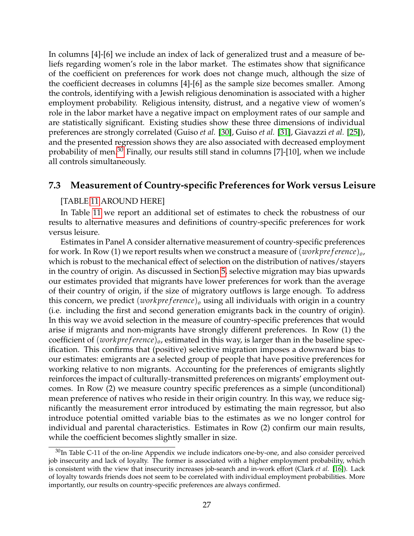In columns [4]-[6] we include an index of lack of generalized trust and a measure of beliefs regarding women's role in the labor market. The estimates show that significance of the coefficient on preferences for work does not change much, although the size of the coefficient decreases in columns [4]-[6] as the sample size becomes smaller. Among the controls, identifying with a Jewish religious denomination is associated with a higher employment probability. Religious intensity, distrust, and a negative view of women's role in the labor market have a negative impact on employment rates of our sample and are statistically significant. Existing studies show these three dimensions of individual preferences are strongly correlated (Guiso *et al.* [\[30\]](#page-50-11), Guiso *et al.* [\[31\]](#page-50-12), Giavazzi *et al.* [\[25\]](#page-49-2)), and the presented regression shows they are also associated with decreased employment probability of men.<sup>[30](#page-26-0)</sup> Finally, our results still stand in columns [7]-[10], when we include all controls simultaneously.

### **7.3 Measurement of Country-specific Preferences for Work versus Leisure**

#### [TABLE [11](#page-45-0) AROUND HERE]

In Table [11](#page-45-0) we report an additional set of estimates to check the robustness of our results to alternative measures and definitions of country-specific preferences for work versus leisure.

Estimates in Panel A consider alternative measurement of country-specific preferences for work. In Row (1) we report results when we construct a measure of (*workpre f erence*)*o*, which is robust to the mechanical effect of selection on the distribution of natives/stayers in the country of origin. As discussed in Section [5,](#page-14-0) selective migration may bias upwards our estimates provided that migrants have lower preferences for work than the average of their country of origin, if the size of migratory outflows is large enough. To address this concern, we predict (*workpre f erence*)*<sup>o</sup>* using all individuals with origin in a country (i.e. including the first and second generation emigrants back in the country of origin). In this way we avoid selection in the measure of country-specific preferences that would arise if migrants and non-migrants have strongly different preferences. In Row (1) the coefficient of (*workpre f erence*)*o*, estimated in this way, is larger than in the baseline specification. This confirms that (positive) selective migration imposes a downward bias to our estimates: emigrants are a selected group of people that have positive preferences for working relative to non migrants. Accounting for the preferences of emigrants slightly reinforces the impact of culturally-transmitted preferences on migrants' employment outcomes. In Row (2) we measure country specific preferences as a simple (unconditional) mean preference of natives who reside in their origin country. In this way, we reduce significantly the measurement error introduced by estimating the main regressor, but also introduce potential omitted variable bias to the estimates as we no longer control for individual and parental characteristics. Estimates in Row (2) confirm our main results, while the coefficient becomes slightly smaller in size.

<span id="page-26-0"></span> $30$ In Table C-11 of the on-line Appendix we include indicators one-by-one, and also consider perceived job insecurity and lack of loyalty. The former is associated with a higher employment probability, which is consistent with the view that insecurity increases job-search and in-work effort (Clark *et al.* [\[16\]](#page-49-12)). Lack of loyalty towards friends does not seem to be correlated with individual employment probabilities. More importantly, our results on country-specific preferences are always confirmed.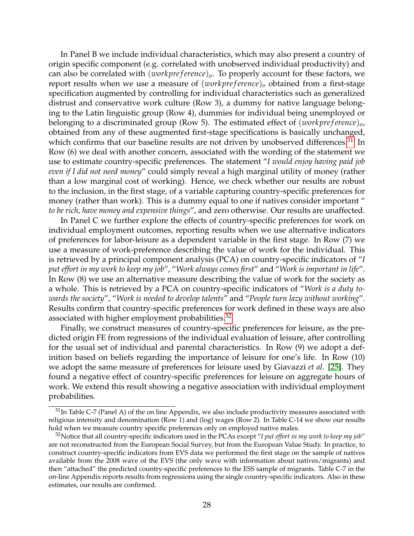In Panel B we include individual characteristics, which may also present a country of origin specific component (e.g. correlated with unobserved individual productivity) and can also be correlated with (*workpre f erence*)<sub>0</sub>. To properly account for these factors, we report results when we use a measure of  $(workerference)_o$  obtained from a first-stage specification augmented by controlling for individual characteristics such as generalized distrust and conservative work culture (Row 3), a dummy for native language belonging to the Latin linguistic group (Row 4), dummies for individual being unemployed or belonging to a discriminated group (Row 5). The estimated effect of (*workpre f erence*)*o*, obtained from any of these augmented first-stage specifications is basically unchanged, which confirms that our baseline results are not driven by unobserved differences. $31$  In Row (6) we deal with another concern, associated with the wording of the statement we use to estimate country-specific preferences. The statement "*I would enjoy having paid job even if I did not need money*" could simply reveal a high marginal utility of money (rather than a low marginal cost of working). Hence, we check whether our results are robust to the inclusion, in the first stage, of a variable capturing country-specific preferences for money (rather than work). This is a dummy equal to one if natives consider important " *to be rich, have money and expensive things*", and zero otherwise. Our results are unaffected.

In Panel C we further explore the effects of country-specific preferences for work on individual employment outcomes, reporting results when we use alternative indicators of preferences for labor-leisure as a dependent variable in the first stage. In Row (7) we use a measure of work-preference describing the value of work for the individual. This is retrieved by a principal component analysis (PCA) on country-specific indicators of "*I put effort in my work to keep my job*", "*Work always comes first*" and "*Work is important in life*". In Row (8) we use an alternative measure describing the value of work for the society as a whole. This is retrieved by a PCA on country-specific indicators of "*Work is a duty towards the society*", "*Work is needed to develop talents*" and "*People turn lazy without working*". Results confirm that country-specific preferences for work defined in these ways are also associated with higher employment probabilities.<sup>[32](#page-27-1)</sup>

Finally, we construct measures of country-specific preferences for leisure, as the predicted origin FE from regressions of the individual evaluation of leisure, after controlling for the usual set of individual and parental characteristics. In Row (9) we adopt a definition based on beliefs regarding the importance of leisure for one's life. In Row (10) we adopt the same measure of preferences for leisure used by Giavazzi *et al.* [\[25\]](#page-49-2). They found a negative effect of country-specific preferences for leisure on aggregate hours of work. We extend this result showing a negative association with individual employment probabilities.

<span id="page-27-0"></span> $31$ In Table C-7 (Panel A) of the on line Appendix, we also include productivity measures associated with religious intensity and denomination (Row 1) and (log) wages (Row 2). In Table C-14 we show our results hold when we measure country specific preferences only on employed native males.

<span id="page-27-1"></span><sup>32</sup>Notice that all country-specific indicators used in the PCAs except "*I put effort in my work to keep my job*" are not reconstructed from the European Social Survey, but from the European Value Study. In practice, to construct country-specific indicators from EVS data we performed the first stage on the sample of natives available from the 2008 wave of the EVS (the only wave with information about natives/migrants) and then "attached" the predicted country-specific preferences to the ESS sample of migrants. Table C-7 in the on-line Appendix reports results from regressions using the single country-specific indicators. Also in these estimates, our results are confirmed.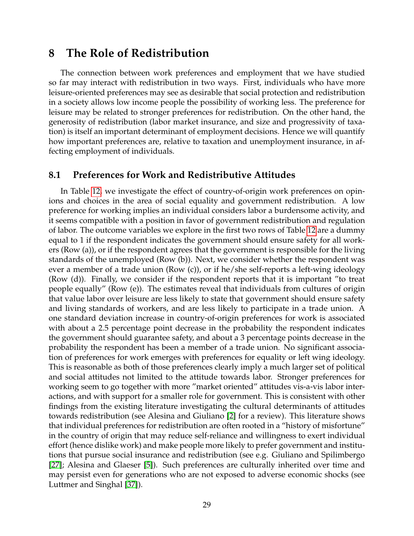## <span id="page-28-0"></span>**8 The Role of Redistribution**

The connection between work preferences and employment that we have studied so far may interact with redistribution in two ways. First, individuals who have more leisure-oriented preferences may see as desirable that social protection and redistribution in a society allows low income people the possibility of working less. The preference for leisure may be related to stronger preferences for redistribution. On the other hand, the generosity of redistribution (labor market insurance, and size and progressivity of taxation) is itself an important determinant of employment decisions. Hence we will quantify how important preferences are, relative to taxation and unemployment insurance, in affecting employment of individuals.

### **8.1 Preferences for Work and Redistributive Attitudes**

In Table [12,](#page-46-0) we investigate the effect of country-of-origin work preferences on opinions and choices in the area of social equality and government redistribution. A low preference for working implies an individual considers labor a burdensome activity, and it seems compatible with a position in favor of government redistribution and regulation of labor. The outcome variables we explore in the first two rows of Table [12](#page-46-0) are a dummy equal to 1 if the respondent indicates the government should ensure safety for all workers (Row (a)), or if the respondent agrees that the government is responsible for the living standards of the unemployed (Row (b)). Next, we consider whether the respondent was ever a member of a trade union (Row (c)), or if he/she self-reports a left-wing ideology (Row (d)). Finally, we consider if the respondent reports that it is important "to treat people equally" (Row (e)). The estimates reveal that individuals from cultures of origin that value labor over leisure are less likely to state that government should ensure safety and living standards of workers, and are less likely to participate in a trade union. A one standard deviation increase in country-of-origin preferences for work is associated with about a 2.5 percentage point decrease in the probability the respondent indicates the government should guarantee safety, and about a 3 percentage points decrease in the probability the respondent has been a member of a trade union. No significant association of preferences for work emerges with preferences for equality or left wing ideology. This is reasonable as both of those preferences clearly imply a much larger set of political and social attitudes not limited to the attitude towards labor. Stronger preferences for working seem to go together with more "market oriented" attitudes vis-a-vis labor interactions, and with support for a smaller role for government. This is consistent with other findings from the existing literature investigating the cultural determinants of attitudes towards redistribution (see Alesina and Giuliano [\[2\]](#page-48-12) for a review). This literature shows that individual preferences for redistribution are often rooted in a "history of misfortune" in the country of origin that may reduce self-reliance and willingness to exert individual effort (hence dislike work) and make people more likely to prefer government and institutions that pursue social insurance and redistribution (see e.g. Giuliano and Spilimbergo [\[27\]](#page-49-13); Alesina and Glaeser [\[5\]](#page-48-13)). Such preferences are culturally inherited over time and may persist even for generations who are not exposed to adverse economic shocks (see Luttmer and Singhal [\[37\]](#page-50-3)).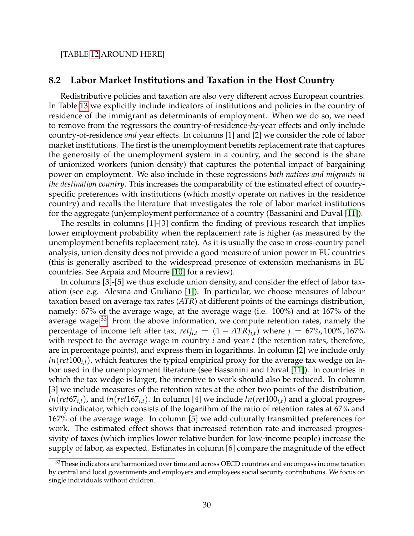#### [TABLE [12](#page-46-0) AROUND HERE]

### **8.2 Labor Market Institutions and Taxation in the Host Country**

Redistributive policies and taxation are also very different across European countries. In Table [13](#page-47-0) we explicitly include indicators of institutions and policies in the country of residence of the immigrant as determinants of employment. When we do so, we need to remove from the regressors the country-of-residence-*by*-year effects and only include country-of-residence *and* year effects. In columns [1] and [2] we consider the role of labor market institutions. The first is the unemployment benefits replacement rate that captures the generosity of the unemployment system in a country, and the second is the share of unionized workers (union density) that captures the potential impact of bargaining power on employment. We also include in these regressions *both natives and migrants in the destination country*. This increases the comparability of the estimated effect of countryspecific preferences with institutions (which mostly operate on natives in the residence country) and recalls the literature that investigates the role of labor market institutions for the aggregate (un)employment performance of a country (Bassanini and Duval [\[11\]](#page-48-4)).

The results in columns [1]-[3] confirm the finding of previous research that implies lower employment probability when the replacement rate is higher (as measured by the unemployment benefits replacement rate). As it is usually the case in cross-country panel analysis, union density does not provide a good measure of union power in EU countries (this is generally ascribed to the widespread presence of extension mechanisms in EU countries. See Arpaia and Mourre [\[10\]](#page-48-5) for a review).

In columns [3]-[5] we thus exclude union density, and consider the effect of labor taxation (see e.g. Alesina and Giuliano [\[1\]](#page-48-1)). In particular, we choose measures of labour taxation based on average tax rates (*ATR*) at different points of the earnings distribution, namely: 67% of the average wage, at the average wage (i.e. 100%) and at 167% of the average wage.<sup>[33](#page-29-0)</sup> From the above information, we compute retention rates, namely the percentage of income left after tax,  $reij_{i,t} = (1 - ATRj_{i,t})$  where  $j = 67\%$ , 100%, 167% with respect to the average wage in country *i* and year *t* (the retention rates, therefore, are in percentage points), and express them in logarithms. In column [2] we include only *ln*(*ret*100*i*,*t*), which features the typical empirical proxy for the average tax wedge on labor used in the unemployment literature (see Bassanini and Duval [\[11\]](#page-48-4)). In countries in which the tax wedge is larger, the incentive to work should also be reduced. In column [3] we include measures of the retention rates at the other two points of the distribution,  $ln(ret67<sub>i,t</sub>)$ , and  $ln(ret167<sub>i,t</sub>)$ . In column [4] we include  $ln(ret100<sub>i,t</sub>)$  and a global progressivity indicator, which consists of the logarithm of the ratio of retention rates at 67% and 167% of the average wage. In column [5] we add culturally transmitted preferences for work. The estimated effect shows that increased retention rate and increased progressivity of taxes (which implies lower relative burden for low-income people) increase the supply of labor, as expected. Estimates in column [6] compare the magnitude of the effect

<span id="page-29-0"></span> $33$ These indicators are harmonized over time and across OECD countries and encompass income taxation by central and local governments and employers and employees social security contributions. We focus on single individuals without children.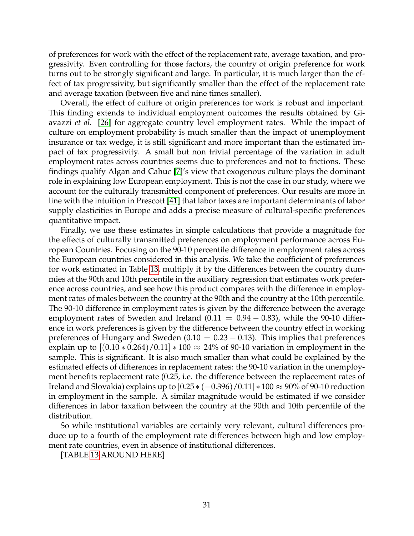of preferences for work with the effect of the replacement rate, average taxation, and progressivity. Even controlling for those factors, the country of origin preference for work turns out to be strongly significant and large. In particular, it is much larger than the effect of tax progressivity, but significantly smaller than the effect of the replacement rate and average taxation (between five and nine times smaller).

Overall, the effect of culture of origin preferences for work is robust and important. This finding extends to individual employment outcomes the results obtained by Giavazzi *et al.* [\[26\]](#page-49-10) for aggregate country level employment rates. While the impact of culture on employment probability is much smaller than the impact of unemployment insurance or tax wedge, it is still significant and more important than the estimated impact of tax progressivity. A small but non trivial percentage of the variation in adult employment rates across countries seems due to preferences and not to frictions. These findings qualify Algan and Cahuc [\[7\]](#page-48-0)'s view that exogenous culture plays the dominant role in explaining low European employment. This is not the case in our study, where we account for the culturally transmitted component of preferences. Our results are more in line with the intuition in Prescott [\[41\]](#page-50-0) that labor taxes are important determinants of labor supply elasticities in Europe and adds a precise measure of cultural-specific preferences quantitative impact.

Finally, we use these estimates in simple calculations that provide a magnitude for the effects of culturally transmitted preferences on employment performance across European Countries. Focusing on the 90-10 percentile difference in employment rates across the European countries considered in this analysis. We take the coefficient of preferences for work estimated in Table [13,](#page-47-0) multiply it by the differences between the country dummies at the 90th and 10th percentile in the auxiliary regression that estimates work preference across countries, and see how this product compares with the difference in employment rates of males between the country at the 90th and the country at the 10th percentile. The 90-10 difference in employment rates is given by the difference between the average employment rates of Sweden and Ireland  $(0.11 = 0.94 - 0.83)$ , while the 90-10 difference in work preferences is given by the difference between the country effect in working preferences of Hungary and Sweden  $(0.10 = 0.23 - 0.13)$ . This implies that preferences explain up to  $[(0.10 * 0.264)/0.11] * 100 \approx 24\%$  of 90-10 variation in employment in the sample. This is significant. It is also much smaller than what could be explained by the estimated effects of differences in replacement rates: the 90-10 variation in the unemployment benefits replacement rate (0.25, i.e. the difference between the replacement rates of Ireland and Slovakia) explains up to  $[0.25 * (-0.396)/0.11] * 100 \approx 90\%$  of 90-10 reduction in employment in the sample. A similar magnitude would be estimated if we consider differences in labor taxation between the country at the 90th and 10th percentile of the distribution.

So while institutional variables are certainly very relevant, cultural differences produce up to a fourth of the employment rate differences between high and low employment rate countries, even in absence of institutional differences.

[TABLE [13](#page-47-0) AROUND HERE]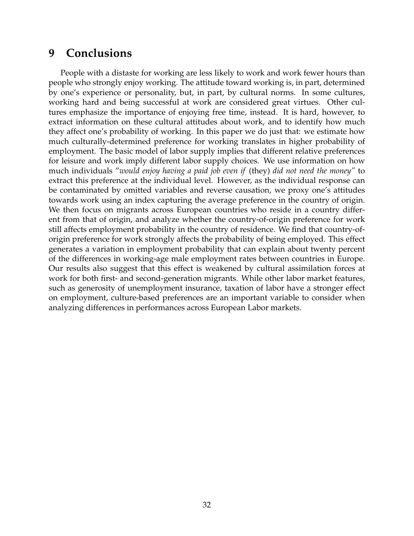## <span id="page-31-0"></span>**9 Conclusions**

People with a distaste for working are less likely to work and work fewer hours than people who strongly enjoy working. The attitude toward working is, in part, determined by one's experience or personality, but, in part, by cultural norms. In some cultures, working hard and being successful at work are considered great virtues. Other cultures emphasize the importance of enjoying free time, instead. It is hard, however, to extract information on these cultural attitudes about work, and to identify how much they affect one's probability of working. In this paper we do just that: we estimate how much culturally-determined preference for working translates in higher probability of employment. The basic model of labor supply implies that different relative preferences for leisure and work imply different labor supply choices. We use information on how much individuals "*would enjoy having a paid job even if* (they) *did not need the money"* to extract this preference at the individual level. However, as the individual response can be contaminated by omitted variables and reverse causation, we proxy one's attitudes towards work using an index capturing the average preference in the country of origin. We then focus on migrants across European countries who reside in a country different from that of origin, and analyze whether the country-of-origin preference for work still affects employment probability in the country of residence. We find that country-oforigin preference for work strongly affects the probability of being employed. This effect generates a variation in employment probability that can explain about twenty percent of the differences in working-age male employment rates between countries in Europe. Our results also suggest that this effect is weakened by cultural assimilation forces at work for both first- and second-generation migrants. While other labor market features, such as generosity of unemployment insurance, taxation of labor have a stronger effect on employment, culture-based preferences are an important variable to consider when analyzing differences in performances across European Labor markets.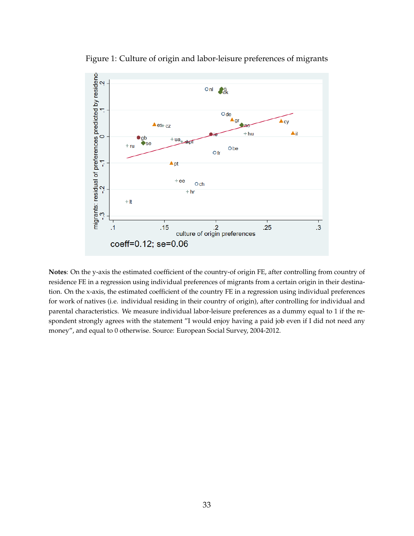

<span id="page-32-0"></span>Figure 1: Culture of origin and labor-leisure preferences of migrants

**Notes**: On the y-axis the estimated coefficient of the country-of origin FE, after controlling from country of residence FE in a regression using individual preferences of migrants from a certain origin in their destination. On the x-axis, the estimated coefficient of the country FE in a regression using individual preferences for work of natives (i.e. individual residing in their country of origin), after controlling for individual and parental characteristics. We measure individual labor-leisure preferences as a dummy equal to 1 if the respondent strongly agrees with the statement "I would enjoy having a paid job even if I did not need any money", and equal to 0 otherwise. Source: European Social Survey, 2004-2012.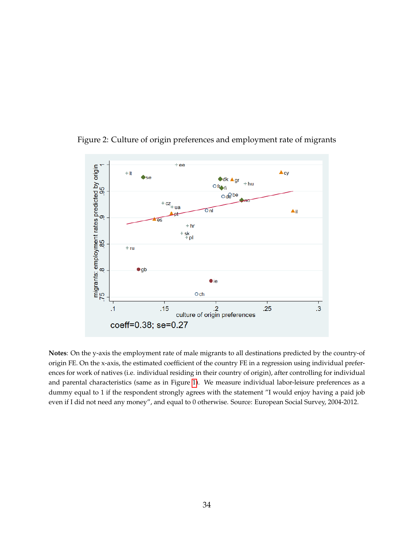

<span id="page-33-0"></span>Figure 2: Culture of origin preferences and employment rate of migrants

**Notes**: On the y-axis the employment rate of male migrants to all destinations predicted by the country-of origin FE. On the x-axis, the estimated coefficient of the country FE in a regression using individual preferences for work of natives (i.e. individual residing in their country of origin), after controlling for individual and parental characteristics (same as in Figure [1\)](#page-32-0). We measure individual labor-leisure preferences as a dummy equal to 1 if the respondent strongly agrees with the statement "I would enjoy having a paid job even if I did not need any money", and equal to 0 otherwise. Source: European Social Survey, 2004-2012.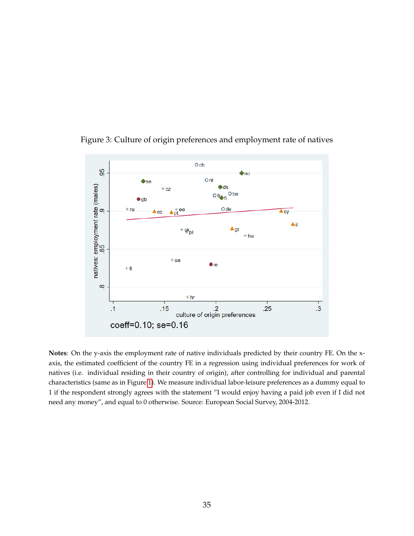

<span id="page-34-0"></span>Figure 3: Culture of origin preferences and employment rate of natives

**Notes**: On the y-axis the employment rate of native individuals predicted by their country FE. On the xaxis, the estimated coefficient of the country FE in a regression using individual preferences for work of natives (i.e. individual residing in their country of origin), after controlling for individual and parental characteristics (same as in Figure [1\)](#page-32-0). We measure individual labor-leisure preferences as a dummy equal to 1 if the respondent strongly agrees with the statement "I would enjoy having a paid job even if I did not need any money", and equal to 0 otherwise. Source: European Social Survey, 2004-2012.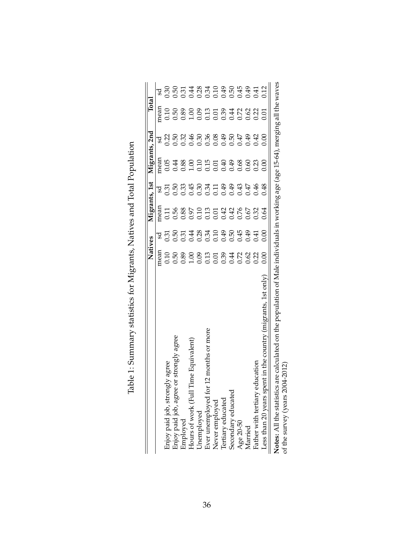<span id="page-35-0"></span>

|                                                                                                                                                                                                                                | Natives |                 | Migrants, 1st      | Migrants, 2nd |                                                                                                                                                                                                                                                                                                                     | Total |                                                                                                                                                                                                                                                                                                                |
|--------------------------------------------------------------------------------------------------------------------------------------------------------------------------------------------------------------------------------|---------|-----------------|--------------------|---------------|---------------------------------------------------------------------------------------------------------------------------------------------------------------------------------------------------------------------------------------------------------------------------------------------------------------------|-------|----------------------------------------------------------------------------------------------------------------------------------------------------------------------------------------------------------------------------------------------------------------------------------------------------------------|
|                                                                                                                                                                                                                                | nean    | Sd              | mean               | mean          |                                                                                                                                                                                                                                                                                                                     | mean  |                                                                                                                                                                                                                                                                                                                |
| Enjoy paid job, strongly agree                                                                                                                                                                                                 |         |                 |                    |               |                                                                                                                                                                                                                                                                                                                     |       |                                                                                                                                                                                                                                                                                                                |
| Enjoy paid job, agree or strongly agree                                                                                                                                                                                        |         |                 |                    |               |                                                                                                                                                                                                                                                                                                                     |       |                                                                                                                                                                                                                                                                                                                |
| Employed                                                                                                                                                                                                                       |         |                 |                    |               |                                                                                                                                                                                                                                                                                                                     |       |                                                                                                                                                                                                                                                                                                                |
| Hours of work (Full Time Equivalent)                                                                                                                                                                                           |         |                 |                    |               |                                                                                                                                                                                                                                                                                                                     |       |                                                                                                                                                                                                                                                                                                                |
| Unemployed                                                                                                                                                                                                                     |         |                 |                    |               |                                                                                                                                                                                                                                                                                                                     |       |                                                                                                                                                                                                                                                                                                                |
| Ever unemployed for 12 months or more                                                                                                                                                                                          |         |                 |                    |               |                                                                                                                                                                                                                                                                                                                     |       |                                                                                                                                                                                                                                                                                                                |
| Never employed                                                                                                                                                                                                                 |         | 565483598549456 |                    |               | $\frac{1}{3}$ $\frac{1}{2}$ $\frac{1}{6}$ $\frac{1}{6}$ $\frac{1}{3}$ $\frac{1}{3}$ $\frac{1}{6}$ $\frac{1}{3}$ $\frac{1}{6}$ $\frac{1}{6}$ $\frac{1}{6}$ $\frac{1}{6}$ $\frac{1}{6}$ $\frac{1}{6}$ $\frac{1}{6}$ $\frac{1}{6}$ $\frac{1}{6}$ $\frac{1}{6}$ $\frac{1}{6}$ $\frac{1}{6}$ $\frac{1}{6}$ $\frac{1}{6}$ |       |                                                                                                                                                                                                                                                                                                                |
| Tertiary educated                                                                                                                                                                                                              |         |                 |                    |               |                                                                                                                                                                                                                                                                                                                     |       |                                                                                                                                                                                                                                                                                                                |
| Secondary educated                                                                                                                                                                                                             |         |                 |                    |               |                                                                                                                                                                                                                                                                                                                     |       |                                                                                                                                                                                                                                                                                                                |
| Age 20-50                                                                                                                                                                                                                      |         |                 |                    |               |                                                                                                                                                                                                                                                                                                                     |       |                                                                                                                                                                                                                                                                                                                |
| Married                                                                                                                                                                                                                        |         |                 |                    |               |                                                                                                                                                                                                                                                                                                                     |       |                                                                                                                                                                                                                                                                                                                |
| Father with tertiary education                                                                                                                                                                                                 |         |                 |                    |               |                                                                                                                                                                                                                                                                                                                     |       |                                                                                                                                                                                                                                                                                                                |
| Less than 20 years spent in the country (migrants, 1st only)                                                                                                                                                                   |         |                 | 118886195194466834 |               |                                                                                                                                                                                                                                                                                                                     |       | $\begin{array}{c} 3 \ 8 \ 9 \ 9 \ 9 \ 1 \ 1 \ 2 \ 1 \ 2 \ 3 \ 4 \ 1 \ 2 \ 3 \ 4 \ 1 \ 2 \ 3 \ 4 \ 1 \ 2 \ 3 \ 4 \ 1 \ 2 \ 2 \ 3 \ 4 \ 1 \ 2 \ 2 \ 3 \ 4 \ 1 \ 2 \ 2 \ 3 \ 4 \ 1 \ 2 \ 2 \ 3 \ 4 \ 2 \ 3 \ 4 \ 2 \ 3 \ 4 \ 2 \ 3 \ 4 \ 2 \ 3 \ 4 \ 3 \ 4 \ 2 \ 3 \ 4 \ 3 \ 4 \ 2 \ 3 \ 4 \ 3 \ 4 \ 2 \ 3 \ 4 \$ |
| Natural Islam Children Conclusion to the property of the conclusion in the conclusion of the conclusion of the conclusion of the conclusion of the conclusion of the conclusion of the conclusion of the conclusion of the con |         |                 |                    |               |                                                                                                                                                                                                                                                                                                                     |       |                                                                                                                                                                                                                                                                                                                |

| unitational latel por sentally<br>ł                                                                 |
|-----------------------------------------------------------------------------------------------------|
|                                                                                                     |
|                                                                                                     |
| $\mathbb{E}[\mathbf{a} \mathbf{b}]$ is a set of a fatter of the $\mathbb{E}[\mathbf{a} \mathbf{b}]$ |
|                                                                                                     |
|                                                                                                     |
|                                                                                                     |
| .<br>E                                                                                              |

**Notes:** All the statistics are calculated on the population of Male individuals in working age (age 15-64), merging all the waves<br>of the survey (years 2004-2012) **Notes:** All the statistics are calculated on the population of Male individuals in working age (age 15-64), merging all the waves of the survey (years 2004-2012)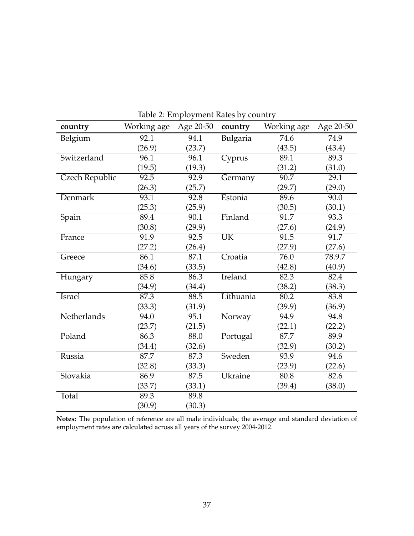| country        | Working age | Age 20-50 | country        | Working age       | Age 20-50         |
|----------------|-------------|-----------|----------------|-------------------|-------------------|
| Belgium        | 92.1        | 94.1      | Bulgaria       | 74.6              | 74.9              |
|                | (26.9)      | (23.7)    |                | (43.5)            | (43.4)            |
| Switzerland    | 96.1        | 96.1      | Cyprus         | 89.1              | 89.3              |
|                | (19.5)      | (19.3)    |                | (31.2)            | (31.0)            |
| Czech Republic | 92.5        | 92.9      | Germany        | 90.7              | $\overline{29.1}$ |
|                | (26.3)      | (25.7)    |                | (29.7)            | (29.0)            |
| Denmark        | 93.1        | 92.8      | Estonia        | 89.6              | 90.0              |
|                | (25.3)      | (25.9)    |                | (30.5)            | (30.1)            |
| Spain          | 89.4        | 90.1      | Finland        | 91.7              | 93.3              |
|                | (30.8)      | (29.9)    |                | (27.6)            | (24.9)            |
| France         | 91.9        | 92.5      | <b>UK</b>      | 91.5              | 91.7              |
|                | (27.2)      | (26.4)    |                | (27.9)            | (27.6)            |
| Greece         | 86.1        | 87.1      | Croatia        | $\overline{76.0}$ | 78.9.7            |
|                | (34.6)      | (33.5)    |                | (42.8)            | (40.9)            |
| Hungary        | 85.8        | 86.3      | <b>Ireland</b> | 82.3              | $\overline{82.4}$ |
|                | (34.9)      | (34.4)    |                | (38.2)            | (38.3)            |
| Israel         | 87.3        | 88.5      | Lithuania      | 80.2              | 83.8              |
|                | (33.3)      | (31.9)    |                | (39.9)            | (36.9)            |
| Netherlands    | 94.0        | 95.1      | Norway         | 94.9              | 94.8              |
|                | (23.7)      | (21.5)    |                | (22.1)            | (22.2)            |
| Poland         | 86.3        | 88.0      | Portugal       | $\overline{8}7.7$ | 89.9              |
|                | (34.4)      | (32.6)    |                | (32.9)            | (30.2)            |
| Russia         | 87.7        | 87.3      | Sweden         | 93.9              | 94.6              |
|                | (32.8)      | (33.3)    |                | (23.9)            | (22.6)            |
| Slovakia       | 86.9        | 87.5      | Ukraine        | 80.8              | 82.6              |
|                | (33.7)      | (33.1)    |                | (39.4)            | (38.0)            |
| Total          | 89.3        | 89.8      |                |                   |                   |
|                | (30.9)      | (30.3)    |                |                   |                   |

<span id="page-36-0"></span>Table 2: Employment Rates by country

**Notes:** The population of reference are all male individuals; the average and standard deviation of employment rates are calculated across all years of the survey 2004-2012.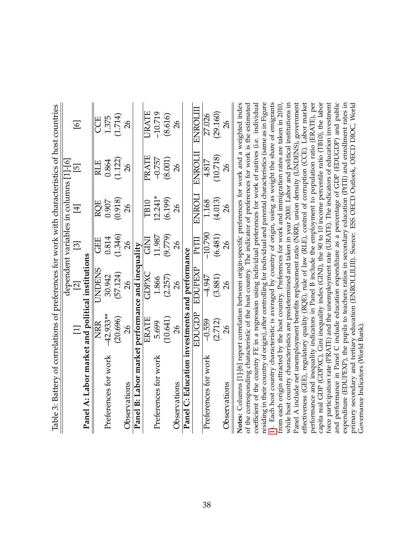<span id="page-37-0"></span>

| Table 3: Battery of correlations of preferences for work with characteristics of host countries                                                                                                                                       |             |                            |             |                                       |            |           |
|---------------------------------------------------------------------------------------------------------------------------------------------------------------------------------------------------------------------------------------|-------------|----------------------------|-------------|---------------------------------------|------------|-----------|
|                                                                                                                                                                                                                                       |             |                            |             | dependent variables in columns [1]-[6 |            |           |
|                                                                                                                                                                                                                                       | $\Xi$       | $\Xi$                      | $\Xi$       | $\overline{4}$                        | 5          | 6]        |
| Panel A: Labor market and political institutions                                                                                                                                                                                      |             |                            |             |                                       |            |           |
|                                                                                                                                                                                                                                       | <b>NRR</b>  | <b>UNDENS</b>              | GEE         | <b>RQE</b>                            | <b>RLE</b> | UU        |
| Preferences for work                                                                                                                                                                                                                  | $-42.933**$ | 30.942                     | 0.814       | 0.907                                 | 0.864      | 1.375     |
|                                                                                                                                                                                                                                       | (20.696)    | (57.124)                   | (1.346)     | (0.918)                               | (1.122)    | (1.714)   |
| Observations                                                                                                                                                                                                                          | 26          | 26                         | 26          | $\delta$                              | $\delta$   | $\delta$  |
| Panel B: Labor market                                                                                                                                                                                                                 |             | performance and inequality |             |                                       |            |           |
|                                                                                                                                                                                                                                       | ERATE       | <b>XdCC</b>                | <b>EXIC</b> | TB10                                  | PRATE      | URATE     |
| Preferences for work                                                                                                                                                                                                                  | 5.699       | 1.866                      | 11.987      | $12.241*$                             | $-0.757$   | $-10.719$ |
|                                                                                                                                                                                                                                       | (10.641)    | (2.257)                    | (9.779)     | (6.199)                               | (8.001)    | (8.616)   |
| Observations                                                                                                                                                                                                                          | 26          |                            | 82          | $\delta$                              | $\delta$   | $\delta$  |
| Panel C: Education investments and performance                                                                                                                                                                                        |             |                            |             |                                       |            |           |
|                                                                                                                                                                                                                                       | EDUGDP      | EDUPEXP                    | PtTT        | ENROT.                                | ENROLI     | ENROLII   |
| Preferences for work                                                                                                                                                                                                                  | $-0.559$    | $-4.947$                   | $-10.790$   | 1.168                                 | 4.817      | 27.026    |
|                                                                                                                                                                                                                                       | (2.712)     | (3.881)                    | (6.481)     | (4.013)                               | (10.718)   | (29.160)  |
| Observations                                                                                                                                                                                                                          | $\delta$    | 26                         | $\delta$    | 26                                    | 26         | $\delta$  |
| of the corresponding characteristic of the host country. The indicator of preferences for work is the estimated<br>Notes: Columns [1]-[6] report correlation between origin-specific preferences for work and a weighted index        |             |                            |             |                                       |            |           |
| coefficient of the country FE in a regression using individual preferences for work of natives (i.e. individual                                                                                                                       |             |                            |             |                                       |            |           |
| ). Each host country characteristic is averaged by country of origin, using as weight the share of emigrants<br>esiding in their country of origin), after controlling for individual and parental characteristics (same as in Figure |             |                            |             |                                       |            |           |
| from each origin attracted by the host country. Preferences for work and immigration rates are taken in 2010,                                                                                                                         |             |                            |             |                                       |            |           |
| while host country characteristics are predetermined and taken in year 2000. Labor and political institutions in                                                                                                                      |             |                            |             |                                       |            |           |
| Panel A include net unemployment benefits replacement ratio (NRR), union density (UNDENS), government<br>effectiveness (GEE), regulatory quality (RQE), rule of law (RLE), control of corruption (CCE). Labor market                  |             |                            |             |                                       |            |           |
| performance and inequality indicators in Panel B include the employment to population ratio (ERATE), per                                                                                                                              |             |                            |             |                                       |            |           |
| capita real GDP (GDPXC), Gini inequality index (GINI), the 90 to 10 income percentile ratio (TB10), the labor                                                                                                                         |             |                            |             |                                       |            |           |
| force participation rate (PRATE) and the unemployment rate (URATE). The indicators of education investment                                                                                                                            |             |                            |             |                                       |            |           |
| and performance in Panel C include education expenditure as a percentage of GDP (EDUGDP) and public                                                                                                                                   |             |                            |             |                                       |            |           |
| expenditure (EDUPEXP), the pupils to teachers ratios in secondary education (PtTII) and enrollment rates in                                                                                                                           |             |                            |             |                                       |            |           |
| primary secondary and tertiary education (ENROLI,II,III). Source: ESS OECD Outlook, OECD DIOC, World<br>Governance Indicators (World Bank)                                                                                            |             |                            |             |                                       |            |           |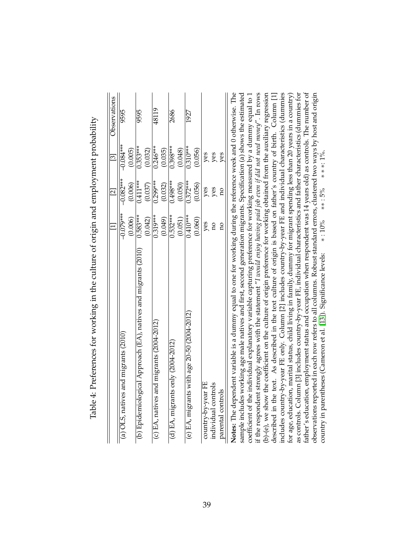<span id="page-38-0"></span>

|                                                                                                                |             | $\Xi$       | $\overline{\mathbb{S}}$ | Observations |
|----------------------------------------------------------------------------------------------------------------|-------------|-------------|-------------------------|--------------|
| (a) $OLS$ , natives and migrants $(2010)$                                                                      | $-0.079***$ | $-0.082***$ | $-0.084***$             | 9595         |
|                                                                                                                | (0.006)     | (0.006)     | (0.005)                 |              |
| (b) Epidemiological Approach (EA), natives and migrants (2010)                                                 | $0.583***$  | $0.411***$  | $0.353***$              | 9595         |
|                                                                                                                | (0.042)     | (0.037)     | (0.032)                 |              |
| (c) EA, natives and migrants $(2004-2012)$                                                                     | $0.319***$  | $0.299***$  | $0.246***$              | 48119        |
|                                                                                                                | (0.049)     | (0.032)     | (0.035)                 |              |
| (d) EA, migrants only $(2004-2012)$                                                                            | $0.532***$  | $0.498***$  | $0.398***$              | 2686         |
|                                                                                                                | (0.051)     | (0.050)     | (0.048)                 |              |
| (e) EA, migrants with age 20-50 (2004-2012)                                                                    | $0.410***$  | $0.372***$  | $0.310***$              | 1927         |
|                                                                                                                | (0.060)     | (0.056)     | (0.056)                 |              |
| country-by-year FE                                                                                             | yes         | yes         | yes                     |              |
| individual controls                                                                                            |             | yes         | yes                     |              |
| parental controls                                                                                              |             | g           | ves                     |              |
| Alexander Lander Landels in Alexander Companion and Lander Landels and March 2002 and December 2003 and 2003 a |             |             |                         |              |

Table 4: Preferences for working in the culture of origin and employment probability Table 4: Preferences for working in the culture of origin and employment probability  $\overline{\mathbf{H}}$ Notes: The dependent variable is a dummy equal to one for working during the reference week and 0 otherwise. The sample includes working age male natives and first, second generation migrants. Specification (a) shows the estimated coefficient of the individual explanatory variable capturing preference for working measured by a dummy equal to 1 if the respondent strongly agrees with the statement "I would enjoy having paid job even if did not need money". In rows coefficient of the individual explanatory variable capturing preference for working measured by a dummy equal to 1 (b)-(e), we show the coefficient on the culture of origin preference for working obtained from the auxiliary regression (b)-(e), we show the coefficient on the culture of origin preference for working obtained from the auxiliary regression described in the text. As described in the text culture of origin is based on father's country of birth. Column [1] includes country-by-year FE only. Column [2] includes country-by-year FE and individual characteristics (dummies for age, education, marital status, child living in family, dummy for migrant spending less than 20 years in a country) as controls. Column [3] includes country-by-year FE, individual characteristics and father characteristics (dummies for father's education, employment status and occupation when respondent was 14 years old) as controls. The number of father's education, employment status and occupation when respondent was 14 years old) as controls. The number of observations reported in each row refers to all columns. Robust standard errors, clustered two ways by host and origin observations reported in each row refers to all columns. Robust standard errors, clustered two ways by host and origin **Notes:** The dependent variable is a dummy equal to one for working during the reference week and 0 otherwise. The sample includes working age male natives and first, second generation migrants. Specification (a) shows the estimated if the respondent strongly agrees with the statement "I would enjoy having paid job even if did not need money". In rows described in the text. As described in the text culture of origin is based on father's country of birth. Column [1] includes country-by-year FE only. Column [2] includes country-by-year FE and individual characteristics (dummies for age, education, marital status, child living in family, dummy for migrant spending less than 20 years in a country) as controls. Column [3] includes country-by-year FE, individual characteristics and father characteristics (dummies for country in parentheses (Cameron et al. [13]). Significance levels:  $*: 10\%$   $*: 5\%$   $*: 1\%$ . country in parentheses (Cameron et al. [\[13\]](#page-48-11)). Significance levels: ∗ : 10% ∗∗ : 5% ∗ ∗ ∗: 1%.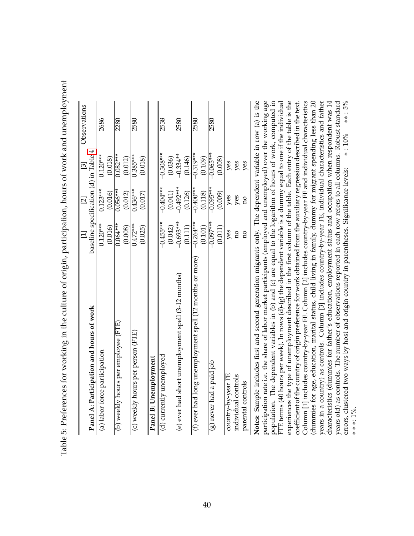|                                                          |                                       | $\boxed{2}$ | $\overline{3}$ | Observations |
|----------------------------------------------------------|---------------------------------------|-------------|----------------|--------------|
| Panel A: Participation and hours of work                 | baseline specification (d) in Table 4 |             |                |              |
| (a) labor force participation                            | $0.120***$                            | $0.123***$  | $0.120***$     | 2686         |
|                                                          | (0.016)                               | (0.016)     | (0.018)        |              |
| (b) weekly hours per employee (FTE)                      | $0.064***$                            | $0.056***$  | $0.082***$     | 2280         |
|                                                          | (0.008)                               | (0.012)     | (0.012)        |              |
| (c) weekly hours per person (FTE)                        | $0.472***$                            | $0.436***$  | $0.385***$     | 2580         |
|                                                          | (0.025)                               | (0.017)     | (0.018)        |              |
| Panel B: Unemployment                                    |                                       |             |                |              |
| (d) currently unemployed                                 | $-0.455***$                           | $-0.404***$ | $-0.308***$    | 2538         |
|                                                          | (0.042)                               | (0.041)     | (0.036)        |              |
| (e) ever had short unemployment spell (3-12 months)      | $-0.693***$                           | $-0.492***$ | $-0.334**$     | 2580         |
|                                                          | (0.111)                               | (0.126)     | (0.146)        |              |
| (f) ever had long unemployment spell (12 months or more) | $-0.264***$                           | $-0.400***$ | $-0.319***$    | 2580         |
|                                                          | (0.101)                               | (0.118)     | (0.109)        |              |
| (g) never had a paid job                                 | $-0.097***$                           | $-0.095***$ | $-0.065***$    | 2580         |
|                                                          | (0.011)                               | (0.009)     | (0.008)        |              |

<span id="page-39-0"></span>Table 5: Preferences for working in the culture of origin, participation, hours of work and unemployment Table 5: Preferences for working in the culture of origin, participation, hours of work and unemployment

 $** : 5\%$ participation rate i.e. the share of labor market participants (employed and unemployed) over the working age experiences the type of unemployment described in the first column of the table. Each entry of the table is the Column [1] includes country-by-year FE. Column [2] includes country-by-year FE and individual characteristics dummies for age, education, marital status, child living in family, dummy for migrant spending less than 20 characteristics (dummies for father's education, employment status and occupation when respondent was 14 Notes: Sample includes first and second generation migrants only. The dependent variable in row (a) is the **Notes:** Sample includes first and second generation migrants only. The dependent variable in row (a) is the participation rate i.e. the share of labor market participants (employed and unemployed) over the working age population. The dependent variables in (b) and (c) are equal to the logarithm of hours of work, computed in population. The dependent variables in (b) and (c) are equal to the logarithm of hours of work, computed in FTE terms (40 hours per week). In rows (d)-(g) the dependent variable is a dummy equal to one if the individual FTE terms (40 hours per week). In rows (d)-(g) the dependent variable is a dummy equal to one if the individual experiences the type of unemployment described in the first column of the table. Each entry of the table is the coefficient of the country of origin preference for work obtained from the auxiliary regression described in the text. Column [1] includes country-by-year FE. Column [2] includes country-by-year FE and individual characteristics (dummies for age, education, marital status, child living in family, dummy for migrant spending less than 20 years in a country) as controls. Column [3] includes country-by-year FE, individual characteristics and father years in a country) as controls. Column [3] includes country-by-year FE, individual characteristics and father characteristics (dummies for father's education, employment status and occupation when respondent was 14 years old) as controls. The number of observations reported in each row refers to all columns. Robust standard years old) as controls. The number of observations reported in each row refers to all columns. Robust standard errors, clustered two ways by host and origin country in parentheses. Significance levels: • ∗: 10% • \*\*: 5% ∗ coefficient of the country of origin preference for work obtained from the auxiliary regression described in the text.  $\ast$  :  $10\%$ errors, clustered two ways by host and origin country in parentheses. Significance levels: ∗ ∗ ∗: 1%.

country-by-year FE yes yes yes individual controls no yes yes parental controls **no** yes

individual controls country-by-year FE

parental controls

yes  $_{\rm no}$  $\overline{\mathbf{n}}$ 

yes yes

yes<br>no yes

yes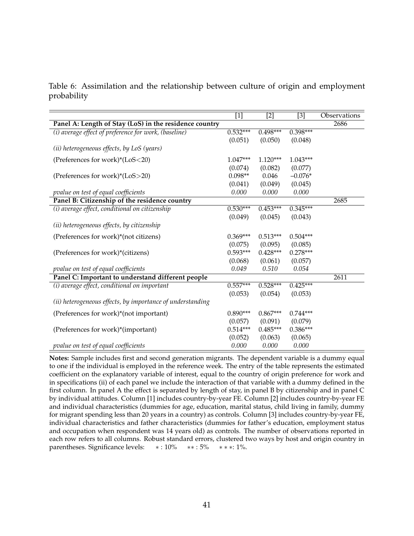<span id="page-40-0"></span>

|             | Table 6: Assimilation and the relationship between culture of origin and employment |  |  |  |  |
|-------------|-------------------------------------------------------------------------------------|--|--|--|--|
| probability |                                                                                     |  |  |  |  |

|                                                            | $[1]$      | $\overline{[2]}$ | $[3]$      | Observations |
|------------------------------------------------------------|------------|------------------|------------|--------------|
| Panel A: Length of Stay (LoS) in the residence country     |            |                  |            | 2686         |
| (i) average effect of preference for work, (baseline)      | $0.532***$ | $0.498***$       | $0.398***$ |              |
|                                                            | (0.051)    | (0.050)          | (0.048)    |              |
| (ii) heterogeneous effects, by LoS (years)                 |            |                  |            |              |
| (Preferences for work)*(LoS<20)                            | 1.047***   | $1.120***$       | $1.043***$ |              |
|                                                            | (0.074)    | (0.082)          | (0.077)    |              |
| (Preferences for work)*(LoS>20)                            | $0.098**$  | 0.046            | $-0.076*$  |              |
|                                                            | (0.041)    | (0.049)          | (0.045)    |              |
| pvalue on test of equal coefficients                       | 0.000      | 0.000            | 0.000      |              |
| Panel B: Citizenship of the residence country              |            |                  |            | 2685         |
| (i) average effect, conditional on citizenship             | $0.530***$ | $0.453***$       | $0.345***$ |              |
|                                                            | (0.049)    | (0.045)          | (0.043)    |              |
| (ii) heterogeneous effects, by citizenship                 |            |                  |            |              |
| (Preferences for work)*(not citizens)                      | $0.369***$ | $0.513***$       | $0.504***$ |              |
|                                                            | (0.075)    | (0.095)          | (0.085)    |              |
| (Preferences for work)*(citizens)                          | $0.593***$ | $0.428***$       | $0.278***$ |              |
|                                                            | (0.068)    | (0.061)          | (0.057)    |              |
| pvalue on test of equal coefficients                       | 0.049      | 0.510            | 0.054      |              |
| Panel C: Important to understand different people          |            |                  |            | 2611         |
| (i) average effect, conditional on important               | $0.557***$ | $0.528***$       | $0.425***$ |              |
|                                                            | (0.053)    | (0.054)          | (0.053)    |              |
| (ii) heterogeneous effects, by importance of understanding |            |                  |            |              |
| (Preferences for work)*(not important)                     | $0.890***$ | $0.867***$       | $0.744***$ |              |
|                                                            | (0.057)    | (0.091)          | (0.079)    |              |
| (Preferences for work)*(important)                         | $0.514***$ | $0.485***$       | $0.386***$ |              |
|                                                            | (0.052)    | (0.063)          | (0.065)    |              |
| pvalue on test of equal coefficients                       | $0.000\,$  | 0.000            | 0.000      |              |

**Notes:** Sample includes first and second generation migrants. The dependent variable is a dummy equal to one if the individual is employed in the reference week. The entry of the table represents the estimated coefficient on the explanatory variable of interest, equal to the country of origin preference for work and in specifications (ii) of each panel we include the interaction of that variable with a dummy defined in the first column. In panel A the effect is separated by length of stay, in panel B by citizenship and in panel C by individual attitudes. Column [1] includes country-by-year FE. Column [2] includes country-by-year FE and individual characteristics (dummies for age, education, marital status, child living in family, dummy for migrant spending less than 20 years in a country) as controls. Column [3] includes country-by-year FE, individual characteristics and father characteristics (dummies for father's education, employment status and occupation when respondent was 14 years old) as controls. The number of observations reported in each row refers to all columns. Robust standard errors, clustered two ways by host and origin country in parentheses. Significance levels:  $*: 10\%$   $**: 5\%$   $**: 1\%$ . parentheses. Significance levels: \*: 10% \*\*: 5% \*\*\*: 1%.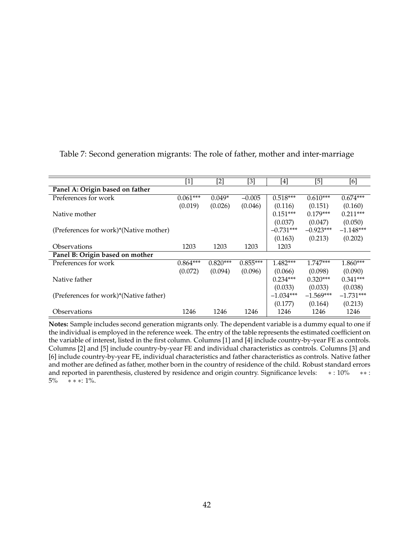|                                        | $[1]$      | $[2]$      | [3]        | $[4]$       | $\lceil 5 \rceil$ | [6]         |
|----------------------------------------|------------|------------|------------|-------------|-------------------|-------------|
| Panel A: Origin based on father        |            |            |            |             |                   |             |
| Preferences for work                   | $0.061***$ | $0.049*$   | $-0.005$   | $0.518***$  | $0.610***$        | $0.674***$  |
|                                        | (0.019)    | (0.026)    | (0.046)    | (0.116)     | (0.151)           | (0.160)     |
| Native mother                          |            |            |            | $0.151***$  | $0.179***$        | $0.211***$  |
|                                        |            |            |            | (0.037)     | (0.047)           | (0.050)     |
| (Preferences for work)*(Native mother) |            |            |            | $-0.731***$ | $-0.923***$       | $-1.148***$ |
|                                        |            |            |            | (0.163)     | (0.213)           | (0.202)     |
| Observations                           | 1203       | 1203       | 1203       | 1203        |                   |             |
| Panel B: Origin based on mother        |            |            |            |             |                   |             |
| Preferences for work                   | $0.864***$ | $0.820***$ | $0.855***$ | 1.482***    | $1.747***$        | 1.860***    |
|                                        | (0.072)    | (0.094)    | (0.096)    | (0.066)     | (0.098)           | (0.090)     |
| Native father                          |            |            |            | $0.234***$  | $0.320***$        | $0.341***$  |
|                                        |            |            |            | (0.033)     | (0.033)           | (0.038)     |
| (Preferences for work)*(Native father) |            |            |            | $-1.034***$ | $-1.569***$       | $-1.731***$ |
|                                        |            |            |            | (0.177)     | (0.164)           | (0.213)     |
| Observations                           | 1246       | 1246       | 1246       | 1246        | 1246              | 1246        |

### <span id="page-41-0"></span>Table 7: Second generation migrants: The role of father, mother and inter-marriage

**Notes:** Sample includes second generation migrants only. The dependent variable is a dummy equal to one if the individual is employed in the reference week. The entry of the table represents the estimated coefficient on the variable of interest, listed in the first column. Columns [1] and [4] include country-by-year FE as controls. Columns [2] and [5] include country-by-year FE and individual characteristics as controls. Columns [3] and [6] include country-by-year FE, individual characteristics and father characteristics as controls. Native father and mother are defined as father, mother born in the country of residence of the child. Robust standard errors and reported in parenthesis, clustered by residence and origin country. Significance levels: ∗ : 10% ∗∗ : 5% ∗ ∗ ∗: 1%.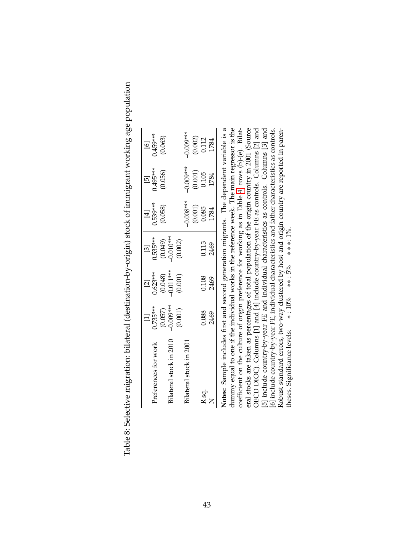<span id="page-42-0"></span>

| ١ |
|---|
|   |
|   |
|   |
|   |
|   |
|   |

|                                                                                          | $\begin{bmatrix} 11 \\ 0.735*** \end{bmatrix}$ |                                                                                          |                                                                      |                                  |                             |                    |
|------------------------------------------------------------------------------------------|------------------------------------------------|------------------------------------------------------------------------------------------|----------------------------------------------------------------------|----------------------------------|-----------------------------|--------------------|
| Preferences for work                                                                     |                                                |                                                                                          |                                                                      |                                  |                             | $0.459***$         |
|                                                                                          | $(0.057)$<br>$-0.009***$                       | $[2] \atop \begin{array}{c} 0.623^{***} \\ 0.048) \\ -0.011^{***} \\ 0.0049 \end{array}$ | $\begin{bmatrix} 5 \\ 0.535*** \\ (0.049) \\ 0.010*** \end{bmatrix}$ | $[4]$<br>$0.539***$<br>$(0.058)$ | $[5]$<br>0.495***<br>0.056) | (0.063)            |
| Bilateral stock in 2010                                                                  |                                                |                                                                                          |                                                                      |                                  |                             |                    |
|                                                                                          | (0.001)                                        |                                                                                          | (0.002)                                                              |                                  |                             |                    |
| Bilateral stock in 2001                                                                  |                                                |                                                                                          |                                                                      | $0.008***$                       | $-0.009***$                 | $-0.0000$          |
|                                                                                          |                                                |                                                                                          |                                                                      | (0.001)                          | $\frac{(0.001)}{0.105}$     | (0.002)            |
| R <sub>sq</sub>                                                                          | 0.088<br>2469                                  | $\frac{0.108}{2469}$                                                                     | 0.113<br>2469                                                        | 0.085                            |                             | $\overline{0.112}$ |
|                                                                                          |                                                |                                                                                          |                                                                      | 1784                             | 1784                        | 1784               |
| Notes: Sample includes first and second generation migrants. The dependent variable is a |                                                |                                                                                          |                                                                      |                                  |                             |                    |

A straight and the individual works in the reference week. The main regressor is the dummy equal to one if the individual works in the reference week. The main regressor is the **Notes:** Sample includes first and second generation migrants. The dependent variable is a coefficient on the culture of origin preference for working as in Table 4, rows (b)-(e). Bilateral stocks are taken as percentages of total population of the origin country in 2001 (Source OECD DIOC). Columns [1] and [4] include country-by-year FE as controls. Columns [2] and [5] include country-by-year FE and individual characteristics as controls. Columns [3] and Robust standard errors, two-way clustered by host and origin country are reported in parendummy equal to one if the individual works in the reference week. The main regressor is the coefficient on the culture of origin preference for working as in Table [4,](#page-38-0) rows (b)-(e). Bilateral stocks are taken as percentages of total population of the origin country in 2001 (Source OECD DIOC). Columns [1] and [4] include country-by-year FE as controls. Columns [2] and [5] include country-by-year FE and individual characteristics as controls. Columns [3] and [6] include country-by-year FE, individual characteristics and father characteristics as controls. Robust standard errors, two-way clustered by host and origin country are reported in paren-[6] include country-by-year FE, individual characteristics and father characteristics as controls. theses. Significance levels:  $*:10\%$   $**:5\%$   $**:1\%$ . theses. Significance levels: ∗: 10% ∗\*: 5% ∗\*\*: 1%.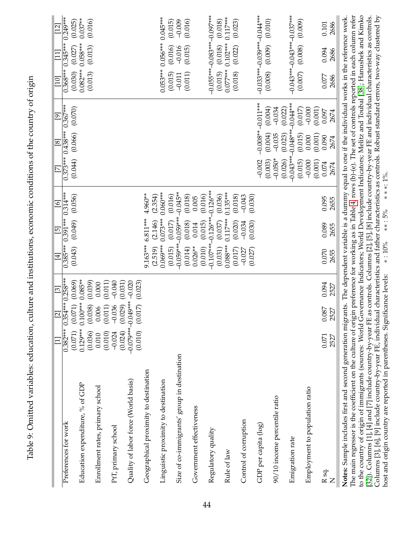<span id="page-43-0"></span>

|                                                                                                                                                                                                                                                                                                                                                                                                                                                                                                                                                                                                                                                                                                                                                                                                                                                                                                                        | $\boxed{1}$          | $\overline{2}$                                            | $\boxed{3}$         | $\overline{4}$        | $\overline{5}$                   | $\Xi$                                    | $\sum$                 | $\boxed{8}$           | $\overline{5}$                 | $[10]$                | $[11]$                                   | $[12]$                                 |
|------------------------------------------------------------------------------------------------------------------------------------------------------------------------------------------------------------------------------------------------------------------------------------------------------------------------------------------------------------------------------------------------------------------------------------------------------------------------------------------------------------------------------------------------------------------------------------------------------------------------------------------------------------------------------------------------------------------------------------------------------------------------------------------------------------------------------------------------------------------------------------------------------------------------|----------------------|-----------------------------------------------------------|---------------------|-----------------------|----------------------------------|------------------------------------------|------------------------|-----------------------|--------------------------------|-----------------------|------------------------------------------|----------------------------------------|
| Preferences for work                                                                                                                                                                                                                                                                                                                                                                                                                                                                                                                                                                                                                                                                                                                                                                                                                                                                                                   |                      | $0.382***$ $0.354***$ $0.258***$                          |                     |                       | $0.385***$ $0.391***$ $0.314***$ |                                          |                        |                       | $0.373***$ 0.438*** 0.367***   | $0.368***$            | $0.345***$                               | $0.249***$                             |
|                                                                                                                                                                                                                                                                                                                                                                                                                                                                                                                                                                                                                                                                                                                                                                                                                                                                                                                        | (0.071)              | (0.071)                                                   | (0.069)             | (0.043)               | (0.049)                          | (0.056)                                  | (0.044)                |                       | $(0.066)$ $(0.070)$            | (0.030)               | (0.027)                                  | (0.025)                                |
| Education expenditure, % of GDP                                                                                                                                                                                                                                                                                                                                                                                                                                                                                                                                                                                                                                                                                                                                                                                                                                                                                        |                      | $0.129***0.100***$                                        | $0.085***$          |                       |                                  |                                          |                        |                       |                                | $0.082***$            | $0.058***$                               | $0.037**$                              |
| Enrollment rates, primary school                                                                                                                                                                                                                                                                                                                                                                                                                                                                                                                                                                                                                                                                                                                                                                                                                                                                                       | (0.036)<br>0.010     | (0.038)                                                   | (0.039)<br>0.000    |                       |                                  |                                          |                        |                       |                                | (0.013)               | (0.013)                                  | (0.016)                                |
|                                                                                                                                                                                                                                                                                                                                                                                                                                                                                                                                                                                                                                                                                                                                                                                                                                                                                                                        | (0.010)              | $\begin{array}{c} 0.006 \\ (0.011) \\ -0.036 \end{array}$ | (0.011)             |                       |                                  |                                          |                        |                       |                                |                       |                                          |                                        |
| PtT, primary school                                                                                                                                                                                                                                                                                                                                                                                                                                                                                                                                                                                                                                                                                                                                                                                                                                                                                                    | (0.024)<br>$-0.024$  | (0.029)                                                   | (0.031)<br>$-0.040$ |                       |                                  |                                          |                        |                       |                                |                       |                                          |                                        |
| Quality of labor force (World basis)                                                                                                                                                                                                                                                                                                                                                                                                                                                                                                                                                                                                                                                                                                                                                                                                                                                                                   | $-0.079***-0.049***$ | $(0.010)$ $(0.017)$                                       | $-0.020$<br>(0.023) |                       |                                  |                                          |                        |                       |                                |                       |                                          |                                        |
| Geographical proximity to destination                                                                                                                                                                                                                                                                                                                                                                                                                                                                                                                                                                                                                                                                                                                                                                                                                                                                                  |                      |                                                           |                     | (2.519)               | 9.163*** 6.811***<br>(2.146)     | 4.960**<br>(2.354)                       |                        |                       |                                |                       |                                          |                                        |
| Linguistic proximity to destination                                                                                                                                                                                                                                                                                                                                                                                                                                                                                                                                                                                                                                                                                                                                                                                                                                                                                    |                      |                                                           |                     | $0.069***$<br>(0.015) | $0.073***$<br>(0.017)            | $0.060***$<br>(0.016)                    |                        |                       |                                | $0.053***$<br>(0.015) | $0.056***$<br>(0.016)                    | $0.045***$<br>(0.015)                  |
| Size of co-immigrants' group in destination                                                                                                                                                                                                                                                                                                                                                                                                                                                                                                                                                                                                                                                                                                                                                                                                                                                                            |                      |                                                           |                     |                       | -0.059***-0.059***               | $-0.045**$                               |                        |                       |                                | $-0.011$              | $-0.016$                                 | $-0.009$                               |
| Government effectiveness                                                                                                                                                                                                                                                                                                                                                                                                                                                                                                                                                                                                                                                                                                                                                                                                                                                                                               |                      |                                                           |                     | $0.026**$<br>(0.014)  | (0.018)<br>0.014                 | (0.018)<br>0.005                         |                        |                       |                                | (0.011)               | (0.015)                                  | (0.016)                                |
|                                                                                                                                                                                                                                                                                                                                                                                                                                                                                                                                                                                                                                                                                                                                                                                                                                                                                                                        |                      |                                                           |                     | (0.010)               | (0.015)                          | (0.016)                                  |                        |                       |                                |                       |                                          |                                        |
| Regulatory quality                                                                                                                                                                                                                                                                                                                                                                                                                                                                                                                                                                                                                                                                                                                                                                                                                                                                                                     |                      |                                                           |                     | (0.031)               | (0.037)                          | $-0.107***-0.126***-0.126***$<br>(0.036) |                        |                       |                                | (0.015)               | $-0.055***-0.083***-0.097***$<br>(0.018) | (0.018)                                |
| Rule of law                                                                                                                                                                                                                                                                                                                                                                                                                                                                                                                                                                                                                                                                                                                                                                                                                                                                                                            |                      |                                                           |                     | $0.088***$            | $0.117***$                       | $0.135***$                               |                        |                       |                                |                       | $0.077***$ $0.102***$ $0.117***$         |                                        |
| Control of corruption                                                                                                                                                                                                                                                                                                                                                                                                                                                                                                                                                                                                                                                                                                                                                                                                                                                                                                  |                      |                                                           |                     | (0.017)<br>$-0.027$   | (0.020)<br>$-0.034$              | (0.018)<br>$-0.043$                      |                        |                       |                                | (0.018)               | (0.022)                                  | (0.023)                                |
|                                                                                                                                                                                                                                                                                                                                                                                                                                                                                                                                                                                                                                                                                                                                                                                                                                                                                                                        |                      |                                                           |                     | (0.027)               | (0.030)                          | (0.030)                                  |                        |                       |                                |                       |                                          |                                        |
| GDP per capita (log)                                                                                                                                                                                                                                                                                                                                                                                                                                                                                                                                                                                                                                                                                                                                                                                                                                                                                                   |                      |                                                           |                     |                       |                                  |                                          | (0.003)<br>$-0.002$    | (0.004)               | $-0.008**-0.011***$<br>(0.004) | (0.008)               | (0.009)                                  | -0.033***-0.039***-0.044***<br>(0.010) |
| 90/10 income percentile ratio                                                                                                                                                                                                                                                                                                                                                                                                                                                                                                                                                                                                                                                                                                                                                                                                                                                                                          |                      |                                                           |                     |                       |                                  |                                          | $-0.050*$              | $-0.035$              | $-0.034$                       |                       |                                          |                                        |
| Emigration rate                                                                                                                                                                                                                                                                                                                                                                                                                                                                                                                                                                                                                                                                                                                                                                                                                                                                                                        |                      |                                                           |                     |                       |                                  |                                          | $-0.043***$<br>(0.026) | $0.048***$<br>(0.023) | $-0.044***$<br>(0.022)         |                       |                                          | $-0.043***-0.043***-0.037***$          |
| Employment to population ratio                                                                                                                                                                                                                                                                                                                                                                                                                                                                                                                                                                                                                                                                                                                                                                                                                                                                                         |                      |                                                           |                     |                       |                                  |                                          | (0.015)<br>$-0.000$    | (0.015)<br>0.000      | (0.017)<br>$-0.000$            | (0.007)               | (0.008)                                  | (0.009)                                |
|                                                                                                                                                                                                                                                                                                                                                                                                                                                                                                                                                                                                                                                                                                                                                                                                                                                                                                                        |                      |                                                           |                     |                       |                                  |                                          | (0.001)                | (0.001)               | (0.001)                        |                       |                                          |                                        |
| $_{\rm R\,SG}^{\rm R\,sg.}$                                                                                                                                                                                                                                                                                                                                                                                                                                                                                                                                                                                                                                                                                                                                                                                                                                                                                            | 0.071<br>2527        | $0.087$<br>2527                                           | 0.094<br>2527       | 0.070<br>2655         | 0.089<br>2655                    | 0.095<br>2655                            | 0.074<br>2674          | 0.090<br>2674         | 0.097<br>2674                  | 0.077<br>2686         | 0.094<br>2686                            | 2686<br>0.101                          |
| The main regressor is the coefficient on the culture of origin preference for working as in Table 4, rows (b)-(e). The set of controls reported in each column refer<br>to the country of origin of immigrants (sources: World Governance Indicators; World Development Indicators; Melitz and Toubal [38]; Hanushek and Kimko<br>Columns [3], [6], [9] include country-by-year FE, individual characteristics and father characteristics as controls. Robust standard errors, two-way clustered by<br>Notes: Sample includes first and second generation migrants. The dependent variable is a dummy equal to one if the individual works in the reference week.<br>[32]). Columns [1], [4] and [7] include country-by-year FE as controls. Columns [2], [5], [8] include country-by-year FE and individual characteristics as controls.<br>host and origin country are reported in parentheses. Significance levels: |                      |                                                           |                     | $* : 10\%$            | $**:5\%$                         |                                          | $***:1\%$ .            |                       |                                |                       |                                          |                                        |

host and origin country are reported in parentheses. Significance levels: ∗ : 10% ∗∗ : 5% ∗ ∗ ∗: 1%.

Table 9: Omitted variables: education, culture and institutions, economic conditions of the country of origin Table 9: Omitted variables: education, culture and institutions, economic conditions of the country of origin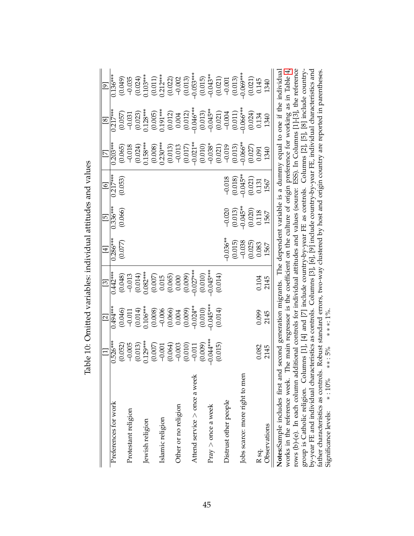<span id="page-44-0"></span>

|                                                                                                                                              |                                                                                                          | $\Xi$                | $\overline{3}$                                                                                   | $\Xi$                              | $\overline{5}$          | ତ୍ର        | $\overline{\triangleright}$                                                | $\boxed{8}$             | $\overline{e}$                                                          |
|----------------------------------------------------------------------------------------------------------------------------------------------|----------------------------------------------------------------------------------------------------------|----------------------|--------------------------------------------------------------------------------------------------|------------------------------------|-------------------------|------------|----------------------------------------------------------------------------|-------------------------|-------------------------------------------------------------------------|
| Preferences for work                                                                                                                         | $0.526***$                                                                                               | $0.494***$           | $0.442***$                                                                                       | $0.286***$                         | $0.336***$              | $0.217***$ | $0.203***$                                                                 | $0.217***$              | $0.136***$                                                              |
|                                                                                                                                              | (0.052)                                                                                                  | (0.046)              | (0.048)                                                                                          | (0.077)                            | (0.066)                 | (0.053)    | (0.065)                                                                    | (0.057)                 | (0.049)                                                                 |
| Protestant religion                                                                                                                          | $-0.005$                                                                                                 | $-0.011$             | $-0.013$                                                                                         |                                    |                         |            | $-0.018$                                                                   | $-0.031$                | $-0.035$                                                                |
|                                                                                                                                              | (0.013)                                                                                                  | (0.014)              | (0.014)                                                                                          |                                    |                         |            | (0.024)                                                                    | (0.023)                 | (0.024)                                                                 |
| Jewish religion                                                                                                                              | $0.129***$                                                                                               | $0.106***$           | $0.082***$                                                                                       |                                    |                         |            | $0.158***$                                                                 | $0.128***$              | $0.103***$                                                              |
|                                                                                                                                              | (0.007)                                                                                                  | (0.008)              | $\begin{array}{c} (0.007) \\ 0.015 \end{array}$                                                  |                                    |                         |            | (0.008)                                                                    | $(0.005)$<br>0.191***   | $\begin{array}{c} (0.011) \\ 0.212*** \\ (0.022) \\ -0.002 \end{array}$ |
| Islamic religion                                                                                                                             | $-0.001$                                                                                                 |                      |                                                                                                  |                                    |                         |            | $0.230***$                                                                 |                         |                                                                         |
|                                                                                                                                              | (0.064)                                                                                                  | $(0.066)$<br>$0.004$ | $(0.065)$<br>$0.000$                                                                             |                                    |                         |            | $\begin{array}{c} (0.013) \\ -0.013 \\ (0.017) \\ -0.021^{**} \end{array}$ | $(0.012)$<br>$0.004$    |                                                                         |
| Other or no religion                                                                                                                         | $-0.003$                                                                                                 |                      |                                                                                                  |                                    |                         |            |                                                                            |                         |                                                                         |
|                                                                                                                                              | (0.010)                                                                                                  | (0.009)              | (0.009)                                                                                          |                                    |                         |            |                                                                            | $(0.012)$<br>-0.046***  | $(0.013)$<br>$-0.053***$                                                |
| Attend service > once a week                                                                                                                 | $-0.011$                                                                                                 | $-0.024**$           | $0.027***$                                                                                       |                                    |                         |            |                                                                            |                         |                                                                         |
|                                                                                                                                              | (0.009)                                                                                                  | (0.010)              | (0.010)                                                                                          |                                    |                         |            | (0.010)                                                                    | $(0.013)$<br>$-0.045**$ | $(0.015)$<br>$-0.043**$<br>$(0.021)$<br>$-0.001$                        |
| $Pray$ > once a week                                                                                                                         | $0.044***$                                                                                               | $0.045***$           | $0.045***$                                                                                       |                                    |                         |            |                                                                            |                         |                                                                         |
|                                                                                                                                              | (0.015)                                                                                                  | (0.014)              | (0.014)                                                                                          |                                    |                         |            | $-0.038$<br>$(0.021)$<br>$-0.019$                                          | $(0.021)$<br>$-0.004$   |                                                                         |
| Distrust other people                                                                                                                        |                                                                                                          |                      |                                                                                                  | $-0.036**$                         | $-0.020$                | $-0.018$   |                                                                            |                         |                                                                         |
|                                                                                                                                              |                                                                                                          |                      |                                                                                                  |                                    | $(0.013)$<br>$-0.045**$ | (0.018)    | (0.013)                                                                    | (0.011)                 | $(0.013)$<br>$0.069***$                                                 |
| Jobs scarce: more right to men                                                                                                               |                                                                                                          |                      |                                                                                                  |                                    |                         | $0.045**$  | $0.066***$                                                                 | $0.066***$              |                                                                         |
|                                                                                                                                              |                                                                                                          |                      |                                                                                                  | $(0.015)$<br>$-0.038$<br>$(0.025)$ | (0.020)                 | (0.021)    | (0.027)                                                                    | (0.024)                 | (0.021)                                                                 |
| R <sub>sq</sub> .                                                                                                                            | 0.082                                                                                                    | 0.099                | $0.104\,$                                                                                        | 0.083                              | 0.118                   | 0.131      | 0.091                                                                      | 134                     | 0.145                                                                   |
| Observations                                                                                                                                 | 2145                                                                                                     | 2145                 | 2145                                                                                             | 1567                               | 1567                    | 1567       | 1340                                                                       | 1340                    | 1340                                                                    |
| Notes:Sample includes first and                                                                                                              |                                                                                                          |                      | second generation migrants. The dependent variable is a dummy equal to one if the individual     |                                    |                         |            |                                                                            |                         |                                                                         |
| works in the reference week.                                                                                                                 | The main regressor is the coefficient on the culture of origin preference for working as in Table 4,     |                      |                                                                                                  |                                    |                         |            |                                                                            |                         |                                                                         |
| rows (b)-(e). In each column additional controls for individual attitudes and values (source: ESS). In Columns $[1]\cdot[3]$ , the reference |                                                                                                          |                      |                                                                                                  |                                    |                         |            |                                                                            |                         |                                                                         |
| group is Catholic religion. Columns [1], [4] and [7] include country-by-year FE as controls. Columns [2], [5], [8] include country-          |                                                                                                          |                      |                                                                                                  |                                    |                         |            |                                                                            |                         |                                                                         |
| by-year FE and individual chara                                                                                                              | cteristics as controls. Columns [3], [6], [9] include country-by-year FE, individual characteristics and |                      |                                                                                                  |                                    |                         |            |                                                                            |                         |                                                                         |
| father characteristics as controls.                                                                                                          |                                                                                                          |                      | Robust standard errors, two-way clustered by host and origin country are reported in parentheses |                                    |                         |            |                                                                            |                         |                                                                         |

Significance levels: ∗ : 10% ∗∗ : 5% ∗ ∗ ∗: 1%.

Significance levels: \*: 10%

 $***1\%$ .

 $**:5\%$ 

Table 10: Omitted variables: individual attitudes and values Table 10: Omitted variables: individual attitudes and values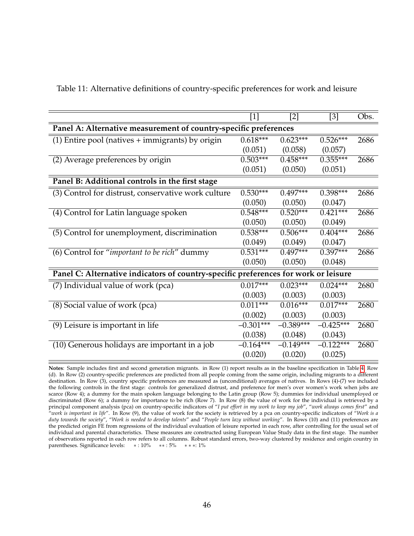|                                                                                     | $[1]$       | $[2]$       | [3]         | Obs. |  |  |  |
|-------------------------------------------------------------------------------------|-------------|-------------|-------------|------|--|--|--|
| Panel A: Alternative measurement of country-specific preferences                    |             |             |             |      |  |  |  |
| $(1)$ Entire pool (natives + immigrants) by origin                                  | $0.618***$  | $0.623***$  | $0.526***$  | 2686 |  |  |  |
|                                                                                     | (0.051)     | (0.058)     | (0.057)     |      |  |  |  |
| (2) Average preferences by origin                                                   | $0.503***$  | $0.458***$  | $0.355***$  | 2686 |  |  |  |
|                                                                                     | (0.051)     | (0.050)     | (0.051)     |      |  |  |  |
| Panel B: Additional controls in the first stage                                     |             |             |             |      |  |  |  |
| (3) Control for distrust, conservative work culture                                 | $0.530***$  | $0.497***$  | $0.398***$  | 2686 |  |  |  |
|                                                                                     | (0.050)     | (0.050)     | (0.047)     |      |  |  |  |
| (4) Control for Latin language spoken                                               | $0.548***$  | $0.520***$  | $0.421***$  | 2686 |  |  |  |
|                                                                                     | (0.050)     | (0.050)     | (0.049)     |      |  |  |  |
| (5) Control for unemployment, discrimination                                        | $0.538***$  | $0.506***$  | $0.404***$  | 2686 |  |  |  |
|                                                                                     | (0.049)     | (0.049)     | (0.047)     |      |  |  |  |
| (6) Control for "important to be rich" dummy                                        | $0.531***$  | $0.497***$  | $0.397***$  | 2686 |  |  |  |
|                                                                                     | (0.050)     | (0.050)     | (0.048)     |      |  |  |  |
| Panel C: Alternative indicators of country-specific preferences for work or leisure |             |             |             |      |  |  |  |
| (7) Individual value of work (pca)                                                  | $0.017***$  | $0.023***$  | $0.024***$  | 2680 |  |  |  |
|                                                                                     | (0.003)     | (0.003)     | (0.003)     |      |  |  |  |
| (8) Social value of work (pca)                                                      | $0.011***$  | $0.016***$  | $0.017***$  | 2680 |  |  |  |
|                                                                                     | (0.002)     | (0.003)     | (0.003)     |      |  |  |  |
| (9) Leisure is important in life                                                    | $-0.301***$ | $-0.389***$ | $-0.425***$ | 2680 |  |  |  |
|                                                                                     | (0.038)     | (0.048)     | (0.043)     |      |  |  |  |
| (10) Generous holidays are important in a job                                       | $-0.164***$ | $-0.149***$ | $-0.122***$ | 2680 |  |  |  |
|                                                                                     | (0.020)     | (0.020)     | (0.025)     |      |  |  |  |

<span id="page-45-0"></span>Table 11: Alternative definitions of country-specific preferences for work and leisure

**Notes**: Sample includes first and second generation migrants. in Row (1) report results as in the baseline specification in Table [4,](#page-38-0) Row (d). In Row (2) country-specific preferences are predicted from all people coming from the same origin, including migrants to a different destination. In Row (3), country specific preferences are measured as (unconditional) averages of natives. In Rows (4)-(7) we included the following controls in the first stage: controls for generalized distrust, and preference for men's over women's work when jobs are scarce (Row 4); a dummy for the main spoken language belonging to the Latin group (Row 5); dummies for individual unemployed or discriminated (Row 6); a dummy for importance to be rich (Row 7). In Row (8) the value of work for the individual is retrieved by a principal component analysis (pca) on country-specific indicators of "*I put effort in my work to keep my job*", "*work always comes first*" and "*work is important in life*". In Row (9), the value of work for the society is retrieved by a pca on country-specific indicators of "*Work is a duty towards the society*", "*Work is needed to develop talents*" and "*People turn lazy without working*". In Rows (10) and (11) preferences are the predicted origin FE from regressions of the individual evaluation of leisure reported in each row, after controlling for the usual set of individual and parental characteristics. These measures are constructed using European Value Study data in the first stage. The number of observations reported in each row refers to all columns. Robust standard errors, two-way clustered by residence and origin country in parentheses. Significance levels: \*: 10% \*\*: 5% \*\*\*: 1%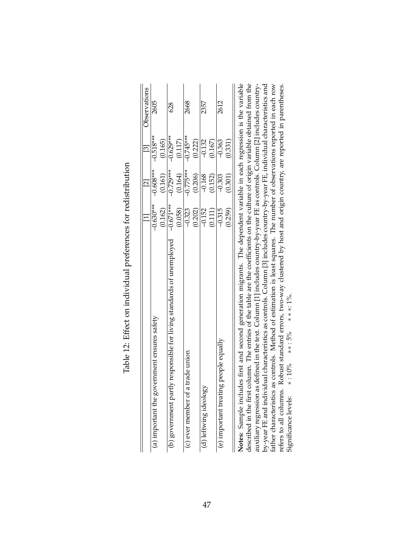<span id="page-46-0"></span>

|                                                                          | $\Xi$                                                                                                                                                                                                                                                                                                                  |                                                                                                                                                | $\frac{1}{-0.518***}$                                                                                                                           | Observations |
|--------------------------------------------------------------------------|------------------------------------------------------------------------------------------------------------------------------------------------------------------------------------------------------------------------------------------------------------------------------------------------------------------------|------------------------------------------------------------------------------------------------------------------------------------------------|-------------------------------------------------------------------------------------------------------------------------------------------------|--------------|
| ernment ensures safety<br>(a) important the gov                          | $-0.630***$                                                                                                                                                                                                                                                                                                            | $\frac{[2]}{-0.608***}$                                                                                                                        |                                                                                                                                                 | 2605         |
|                                                                          | $\frac{(0.162)}{-0.671***}$                                                                                                                                                                                                                                                                                            |                                                                                                                                                | $\frac{(0.165)}{-0.629***}$                                                                                                                     |              |
| y responsible for living standards of unemployed<br>(b) government partl |                                                                                                                                                                                                                                                                                                                        |                                                                                                                                                |                                                                                                                                                 | 628          |
|                                                                          |                                                                                                                                                                                                                                                                                                                        |                                                                                                                                                |                                                                                                                                                 |              |
| trade union<br>(c) ever member of a                                      |                                                                                                                                                                                                                                                                                                                        |                                                                                                                                                |                                                                                                                                                 | 2668         |
|                                                                          | $\begin{array}{l} (0.058) \\ (0.323) \\ (0.202) \\ (0.111) \\ (1.11) \\ (0.111) \\ (0.315) \\ (0.315) \\ (0.319) \\ (0.319) \\ (0.319) \\ (0.319) \\ (0.319) \\ (0.319) \\ (0.319) \\ (0.319) \\ (0.319) \\ (0.319) \\ (0.319) \\ (0.319) \\ (0.319) \\ (0.319) \\ (0.319) \\ (0.319) \\ (0.319) \\ (0.319) \\ (0.319$ | $\begin{array}{c c} (0.161) \\ \hline 0.729*** \\ \hline 0.164) \\ \hline 0.2060 \\ \hline 0.2060 \\ \hline 0.168 \\ \hline 0.158 \end{array}$ | $\begin{array}{c c} (0.117) \\ 0.745^{***} \\ (0.222) \\ (0.2132) \\ (0.167) \\ (0.167) \\ (0.167) \\ (0.167) \\ (0.363) \\ \hline \end{array}$ |              |
| (d) leftwing ideology                                                    |                                                                                                                                                                                                                                                                                                                        |                                                                                                                                                |                                                                                                                                                 | 2357         |
|                                                                          |                                                                                                                                                                                                                                                                                                                        |                                                                                                                                                |                                                                                                                                                 |              |
| z people equally<br>(e) important treating                               |                                                                                                                                                                                                                                                                                                                        | $-0.303$                                                                                                                                       |                                                                                                                                                 | 2612         |
|                                                                          | (0.259)                                                                                                                                                                                                                                                                                                                | (10.301)                                                                                                                                       | (0.331)                                                                                                                                         |              |

Table 12: Effect on individual preferences for redistribution Table 12: Effect on individual preferences for redistribution Notes: Sample includes first and second generation migrants. The dependent variable in each regression is the variable described in the first column. The entries of the table are the coefficients on the culture of origin variable obtained from the auxiliary regression as defined in the text. Column [1] includes country-by-year FE as controls. Column [2] includes countryby-year FE and individual characteristics as controls. Column [3] includes country-by-year FE, individual characteristics and father characteristics as controls. Method of estimation is least squares. The number of observations reported in each row **Notes:** Sample includes first and second generation migrants. The dependent variable in each regression is the variable described in the first column. The entries of the table are the coefficients on the culture of origin variable obtained from the auxiliary regression as defined in the text. Column [1] includes country-by-year FE as controls. Column [2] includes countryby-year FE and individual characteristics as controls. Column [3] includes country-by-year FE, individual characteristics and father characteristics as controls. Method of estimation is least squares. The number of observations reported in each row<br>- for all production of the political control of estimation is least squares. The number of observa refers to all columns. Robust standard errors, two-way clustered by host and origin country, are reported in parentheses. refers to all columns. Robust standard errors, two-way clustered by host and origin country, are reported in parentheses. \*\*:  $5\%$  \*\*\*: 1%. Significance levels: ∗ : 10% ∗∗ : 5% ∗ ∗ ∗: 1%.  $*:10\%$ Significance levels: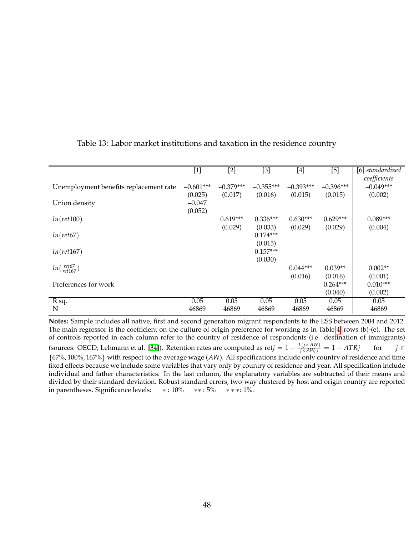|                                        | $[1]$       | $[2]$       | $[3]$       | $[4]$       | [5]         | [6] standardized |
|----------------------------------------|-------------|-------------|-------------|-------------|-------------|------------------|
|                                        |             |             |             |             |             | coefficients     |
| Unemployment benefits replacement rate | $-0.601***$ | $-0.379***$ | $-0.355***$ | $-0.393***$ | $-0.396***$ | $-0.049***$      |
|                                        | (0.025)     | (0.017)     | (0.016)     | (0.015)     | (0.015)     | (0.002)          |
| Union density                          | $-0.047$    |             |             |             |             |                  |
|                                        | (0.052)     |             |             |             |             |                  |
| ln(ret100)                             |             | $0.619***$  | $0.336***$  | $0.630***$  | $0.629***$  | $0.089***$       |
|                                        |             | (0.029)     | (0.033)     | (0.029)     | (0.029)     | (0.004)          |
| ln(ret67)                              |             |             | $0.174***$  |             |             |                  |
|                                        |             |             | (0.015)     |             |             |                  |
| ln(ret167)                             |             |             | $0.157***$  |             |             |                  |
|                                        |             |             | (0.030)     |             |             |                  |
| $ln(\frac{ret67}{ret167})$             |             |             |             | $0.044***$  | $0.039**$   | $0.002**$        |
|                                        |             |             |             | (0.016)     | (0.016)     | (0.001)          |
| Preferences for work                   |             |             |             |             | $0.264***$  | $0.010***$       |
|                                        |             |             |             |             | (0.040)     | (0.002)          |
| $\overline{R}$ sq.                     | 0.05        | 0.05        | 0.05        | 0.05        | 0.05        | 0.05             |
|                                        |             |             |             |             |             |                  |
| N                                      | 46869       | 46869       | 46869       | 46869       | 46869       | 46869            |

### <span id="page-47-0"></span>Table 13: Labor market institutions and taxation in the residence country

**Notes:** Sample includes all native, first and second generation migrant respondents to the ESS between 2004 and 2012. The main regressor is the coefficient on the culture of origin preference for working as in Table [4,](#page-38-0) rows (b)-(e). The set of controls reported in each column refer to the country of residence of respondents (i.e. destination of immigrants) (sources: OECD; Lehmann et al. [\[34\]](#page-50-13)). Retention rates are computed as ret $j = 1 - \frac{T(j \times AW)}{j \times AW}$  $\frac{J \times AV}{J \times AW_{i,t}} = 1 - ATRj$  for  $j \in$ {67%, 100%, 167%} with respect to the average wage (*AW*). All specifications include only country of residence and time fixed effects because we include some variables that vary only by country of residence and year. All specification include individual and father characteristics. In the last column, the explanatory variables are subtracted of their means and divided by their standard deviation. Robust standard errors, two-way clustered by host and origin country are reported in parentheses. Significance levels: ∗ : 10% ∗∗ : 5% ∗ ∗ ∗: 1%.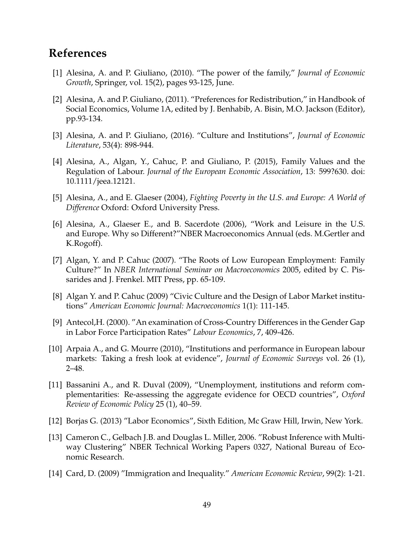## **References**

- <span id="page-48-1"></span>[1] Alesina, A. and P. Giuliano, (2010). "The power of the family," *Journal of Economic Growth*, Springer, vol. 15(2), pages 93-125, June.
- <span id="page-48-12"></span>[2] Alesina, A. and P. Giuliano, (2011). "Preferences for Redistribution," in Handbook of Social Economics, Volume 1A, edited by J. Benhabib, A. Bisin, M.O. Jackson (Editor), pp.93-134.
- <span id="page-48-3"></span>[3] Alesina, A. and P. Giuliano, (2016). "Culture and Institutions", *Journal of Economic Literature*, 53(4): 898-944.
- <span id="page-48-9"></span>[4] Alesina, A., Algan, Y., Cahuc, P. and Giuliano, P. (2015), Family Values and the Regulation of Labour. *Journal of the European Economic Association*, 13: 599?630. doi: 10.1111/jeea.12121.
- <span id="page-48-13"></span>[5] Alesina, A., and E. Glaeser (2004), *Fighting Poverty in the U.S. and Europe: A World of Difference* Oxford: Oxford University Press.
- <span id="page-48-6"></span>[6] Alesina, A., Glaeser E., and B. Sacerdote (2006), "Work and Leisure in the U.S. and Europe. Why so Different?"NBER Macroeconomics Annual (eds. M.Gertler and K.Rogoff).
- <span id="page-48-0"></span>[7] Algan, Y. and P. Cahuc (2007). "The Roots of Low European Employment: Family Culture?" In *NBER International Seminar on Macroeconomics* 2005, edited by C. Pissarides and J. Frenkel. MIT Press, pp. 65-109.
- <span id="page-48-8"></span>[8] Algan Y. and P. Cahuc (2009) "Civic Culture and the Design of Labor Market institutions" *American Economic Journal: Macroeconomics* 1(1): 111-145.
- <span id="page-48-7"></span>[9] Antecol,H. (2000). "An examination of Cross-Country Differences in the Gender Gap in Labor Force Participation Rates" *Labour Economics*, 7, 409-426.
- <span id="page-48-5"></span>[10] Arpaia A., and G. Mourre (2010), "Institutions and performance in European labour markets: Taking a fresh look at evidence", *Journal of Economic Surveys* vol. 26 (1), 2–48.
- <span id="page-48-4"></span>[11] Bassanini A., and R. Duval (2009), "Unemployment, institutions and reform complementarities: Re-assessing the aggregate evidence for OECD countries", *Oxford Review of Economic Policy* 25 (1), 40–59.
- <span id="page-48-2"></span>[12] Borjas G. (2013) "Labor Economics", Sixth Edition, Mc Graw Hill, Irwin, New York.
- <span id="page-48-11"></span>[13] Cameron C., Gelbach J.B. and Douglas L. Miller, 2006. "Robust Inference with Multiway Clustering" NBER Technical Working Papers 0327, National Bureau of Economic Research.
- <span id="page-48-10"></span>[14] Card, D. (2009) "Immigration and Inequality." *American Economic Review*, 99(2): 1-21.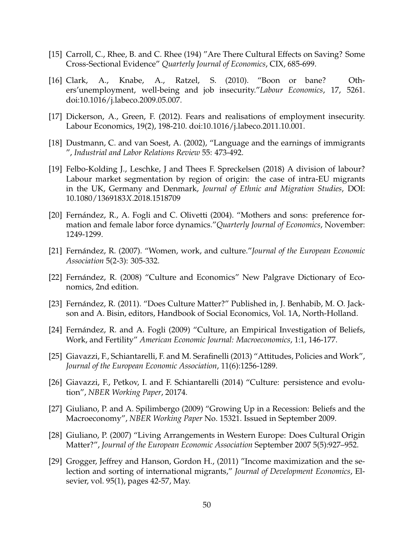- <span id="page-49-7"></span>[15] Carroll, C., Rhee, B. and C. Rhee (194) "Are There Cultural Effects on Saving? Some Cross-Sectional Evidence" *Quarterly Journal of Economics*, CIX, 685-699.
- <span id="page-49-12"></span>[16] Clark, A., Knabe, A., Ratzel, S. (2010). "Boon or bane? Others'unemployment, well-being and job insecurity."*Labour Economics*, 17, 5261. doi:10.1016/j.labeco.2009.05.007.
- <span id="page-49-9"></span>[17] Dickerson, A., Green, F. (2012). Fears and realisations of employment insecurity. Labour Economics, 19(2), 198-210. doi:10.1016/j.labeco.2011.10.001.
- [18] Dustmann, C. and van Soest, A. (2002), "Language and the earnings of immigrants ", *Industrial and Labor Relations Review* 55: 473-492.
- <span id="page-49-11"></span>[19] Felbo-Kolding J., Leschke, J and Thees F. Spreckelsen (2018) A division of labour? Labour market segmentation by region of origin: the case of intra-EU migrants in the UK, Germany and Denmark, *Journal of Ethnic and Migration Studies*, DOI: 10.1080/1369183*X*.2018.1518709
- <span id="page-49-1"></span>[20] Fernández, R., A. Fogli and C. Olivetti (2004). "Mothers and sons: preference formation and female labor force dynamics."*Quarterly Journal of Economics*, November: 1249-1299.
- <span id="page-49-4"></span>[21] Fernández, R. (2007). "Women, work, and culture." *Journal of the European Economic Association* 5(2-3): 305-332.
- <span id="page-49-0"></span>[22] Fernández, R. (2008) "Culture and Economics" New Palgrave Dictionary of Economics, 2nd edition.
- <span id="page-49-5"></span>[23] Fernández, R. (2011). "Does Culture Matter?" Published in, J. Benhabib, M. O. Jackson and A. Bisin, editors, Handbook of Social Economics, Vol. 1A, North-Holland.
- <span id="page-49-6"></span>[24] Fernández, R. and A. Fogli (2009) "Culture, an Empirical Investigation of Beliefs, Work, and Fertility" *American Economic Journal: Macroeconomics*, 1:1, 146-177.
- <span id="page-49-2"></span>[25] Giavazzi, F., Schiantarelli, F. and M. Serafinelli (2013) "Attitudes, Policies and Work", *Journal of the European Economic Association*, 11(6):1256-1289.
- <span id="page-49-10"></span>[26] Giavazzi, F., Petkov, I. and F. Schiantarelli (2014) "Culture: persistence and evolution", *NBER Working Paper*, 20174.
- <span id="page-49-13"></span>[27] Giuliano, P. and A. Spilimbergo (2009) "Growing Up in a Recession: Beliefs and the Macroeconomy", *NBER Working Paper* No. 15321. Issued in September 2009.
- <span id="page-49-3"></span>[28] Giuliano, P. (2007) "Living Arrangements in Western Europe: Does Cultural Origin Matter?", *Journal of the European Economic Association* September 2007 5(5):927–952.
- <span id="page-49-8"></span>[29] Grogger, Jeffrey and Hanson, Gordon H., (2011) "Income maximization and the selection and sorting of international migrants," *Journal of Development Economics*, Elsevier, vol. 95(1), pages 42-57, May.